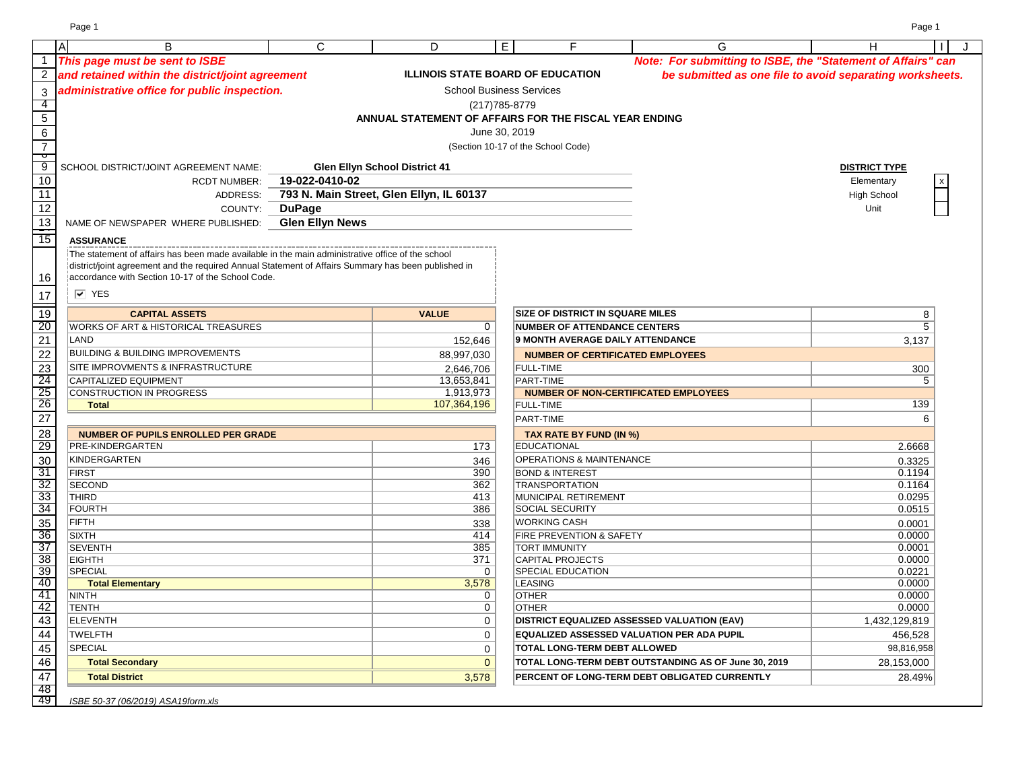Page 1 Page 1

|                 | A<br>B                                                                                              | $\mathsf{C}$           | D                                                      | E. | F                                                        | G                                                            | H                    | J |
|-----------------|-----------------------------------------------------------------------------------------------------|------------------------|--------------------------------------------------------|----|----------------------------------------------------------|--------------------------------------------------------------|----------------------|---|
|                 | This page must be sent to ISBE                                                                      |                        |                                                        |    |                                                          | Note: For submitting to ISBE, the "Statement of Affairs" can |                      |   |
|                 | and retained within the district/joint agreement                                                    |                        | <b>ILLINOIS STATE BOARD OF EDUCATION</b>               |    |                                                          | be submitted as one file to avoid separating worksheets.     |                      |   |
|                 |                                                                                                     |                        |                                                        |    |                                                          |                                                              |                      |   |
| $\sqrt{3}$      | administrative office for public inspection.                                                        |                        | <b>School Business Services</b>                        |    |                                                          |                                                              |                      |   |
| -4              |                                                                                                     |                        | (217) 785-8779                                         |    |                                                          |                                                              |                      |   |
| $\overline{5}$  |                                                                                                     |                        | ANNUAL STATEMENT OF AFFAIRS FOR THE FISCAL YEAR ENDING |    |                                                          |                                                              |                      |   |
| $\overline{6}$  |                                                                                                     |                        | June 30, 2019                                          |    |                                                          |                                                              |                      |   |
| $\overline{7}$  |                                                                                                     |                        |                                                        |    | (Section 10-17 of the School Code)                       |                                                              |                      |   |
| ᠊ᢦ<br>-9        |                                                                                                     |                        | <b>Glen Ellyn School District 41</b>                   |    |                                                          |                                                              | <b>DISTRICT TYPE</b> |   |
| 10              | SCHOOL DISTRICT/JOINT AGREEMENT NAME:                                                               | 19-022-0410-02         |                                                        |    |                                                          |                                                              |                      |   |
| 11              | <b>RCDT NUMBER:</b><br>ADDRESS:                                                                     |                        |                                                        |    |                                                          |                                                              | Elementary           |   |
|                 |                                                                                                     |                        | 793 N. Main Street, Glen Ellyn, IL 60137               |    |                                                          |                                                              | <b>High School</b>   |   |
| 12              | COUNTY:                                                                                             | <b>DuPage</b>          |                                                        |    |                                                          |                                                              | Unit                 |   |
| 13              | NAME OF NEWSPAPER WHERE PUBLISHED:                                                                  | <b>Glen Ellyn News</b> |                                                        |    |                                                          |                                                              |                      |   |
| $\frac{1}{15}$  | <b>ASSURANCE</b>                                                                                    |                        |                                                        |    |                                                          |                                                              |                      |   |
|                 | The statement of affairs has been made available in the main administrative office of the school    |                        |                                                        |    |                                                          |                                                              |                      |   |
|                 | district/joint agreement and the required Annual Statement of Affairs Summary has been published in |                        |                                                        |    |                                                          |                                                              |                      |   |
| 16              | accordance with Section 10-17 of the School Code.                                                   |                        |                                                        |    |                                                          |                                                              |                      |   |
| 17              | $\overline{V}$ YES                                                                                  |                        |                                                        |    |                                                          |                                                              |                      |   |
| $\overline{19}$ | <b>CAPITAL ASSETS</b>                                                                               |                        | <b>VALUE</b>                                           |    | <b>SIZE OF DISTRICT IN SQUARE MILES</b>                  |                                                              | 8                    |   |
| 20              | WORKS OF ART & HISTORICAL TREASURES                                                                 |                        | 0                                                      |    | <b>NUMBER OF ATTENDANCE CENTERS</b>                      |                                                              | $\overline{5}$       |   |
| $\overline{21}$ | LAND                                                                                                |                        | 152,646                                                |    | <b>9 MONTH AVERAGE DAILY ATTENDANCE</b>                  |                                                              | 3,137                |   |
|                 | <b>BUILDING &amp; BUILDING IMPROVEMENTS</b>                                                         |                        |                                                        |    |                                                          |                                                              |                      |   |
| 22              | SITE IMPROVMENTS & INFRASTRUCTURE                                                                   |                        | 88,997,030                                             |    | <b>NUMBER OF CERTIFICATED EMPLOYEES</b>                  |                                                              |                      |   |
| 23<br>24        | CAPITALIZED EQUIPMENT                                                                               |                        | 2,646,706                                              |    | <b>FULL-TIME</b>                                         |                                                              | 300<br>5             |   |
| 25              | CONSTRUCTION IN PROGRESS                                                                            |                        | 13,653,841<br>1,913,973                                |    | PART-TIME<br><b>NUMBER OF NON-CERTIFICATED EMPLOYEES</b> |                                                              |                      |   |
| $\frac{1}{26}$  | <b>Total</b>                                                                                        |                        | 107,364,196                                            |    | <b>FULL-TIME</b>                                         |                                                              | 139                  |   |
| $\overline{27}$ |                                                                                                     |                        |                                                        |    | PART-TIME                                                |                                                              | 6                    |   |
| 28              | <b>NUMBER OF PUPILS ENROLLED PER GRADE</b>                                                          |                        |                                                        |    | TAX RATE BY FUND (IN %)                                  |                                                              |                      |   |
| 29              | PRE-KINDERGARTEN                                                                                    |                        | 173                                                    |    | <b>EDUCATIONAL</b>                                       |                                                              | 2.6668               |   |
| 30              | KINDERGARTEN                                                                                        |                        | 346                                                    |    | <b>OPERATIONS &amp; MAINTENANCE</b>                      |                                                              | 0.3325               |   |
| 31              | <b>FIRST</b>                                                                                        |                        | 390                                                    |    | <b>BOND &amp; INTEREST</b>                               |                                                              | 0.1194               |   |
| 32              | <b>SECOND</b>                                                                                       |                        | 362                                                    |    | <b>TRANSPORTATION</b>                                    |                                                              | 0.1164               |   |
| 33              | THIRD                                                                                               |                        | 413                                                    |    | MUNICIPAL RETIREMENT                                     |                                                              | 0.0295               |   |
| 34              | <b>FOURTH</b>                                                                                       |                        | 386                                                    |    | <b>SOCIAL SECURITY</b>                                   |                                                              | 0.0515               |   |
| 35              | <b>FIFTH</b>                                                                                        |                        | 338                                                    |    | <b>WORKING CASH</b>                                      |                                                              | 0.0001               |   |
| 36              | <b>SIXTH</b>                                                                                        |                        | 414                                                    |    | <b>FIRE PREVENTION &amp; SAFETY</b>                      |                                                              | 0.0000               |   |
| $\overline{37}$ | <b>SEVENTH</b>                                                                                      |                        | 385                                                    |    | <b>TORT IMMUNITY</b>                                     |                                                              | 0.0001               |   |
| 38              | <b>EIGHTH</b>                                                                                       |                        | 371                                                    |    | <b>CAPITAL PROJECTS</b>                                  |                                                              | 0.0000               |   |
| 39              | SPECIAL                                                                                             |                        | $\mathbf{0}$                                           |    | <b>SPECIAL EDUCATION</b>                                 |                                                              | 0.0221               |   |
| 40              | <b>Total Elementary</b>                                                                             |                        | 3,578                                                  |    | <b>LEASING</b>                                           |                                                              | 0.0000               |   |
| 41<br>42        | <b>NINTH</b>                                                                                        |                        | 0<br>$\overline{0}$                                    |    | <b>OTHER</b><br><b>OTHER</b>                             |                                                              | 0.0000<br>0.0000     |   |
|                 | <b>TENTH</b>                                                                                        |                        |                                                        |    |                                                          |                                                              |                      |   |
| 43              | <b>ELEVENTH</b>                                                                                     |                        | 0                                                      |    |                                                          | <b>DISTRICT EQUALIZED ASSESSED VALUATION (EAV)</b>           | 1,432,129,819        |   |
| 44              | TWELFTH                                                                                             |                        | 0                                                      |    |                                                          | EQUALIZED ASSESSED VALUATION PER ADA PUPIL                   | 456,528              |   |
| 45              | <b>SPECIAL</b>                                                                                      |                        | 0                                                      |    | TOTAL LONG-TERM DEBT ALLOWED                             |                                                              | 98,816,958           |   |
| 46              | <b>Total Secondary</b>                                                                              |                        | $\overline{0}$                                         |    |                                                          | TOTAL LONG-TERM DEBT OUTSTANDING AS OF June 30, 2019         | 28,153,000           |   |
| 47              | <b>Total District</b>                                                                               |                        | 3,578                                                  |    |                                                          | PERCENT OF LONG-TERM DEBT OBLIGATED CURRENTLY                | 28.49%               |   |
| 48<br>49        |                                                                                                     |                        |                                                        |    |                                                          |                                                              |                      |   |
|                 | ISBE 50-37 (06/2019) ASA19form.xls                                                                  |                        |                                                        |    |                                                          |                                                              |                      |   |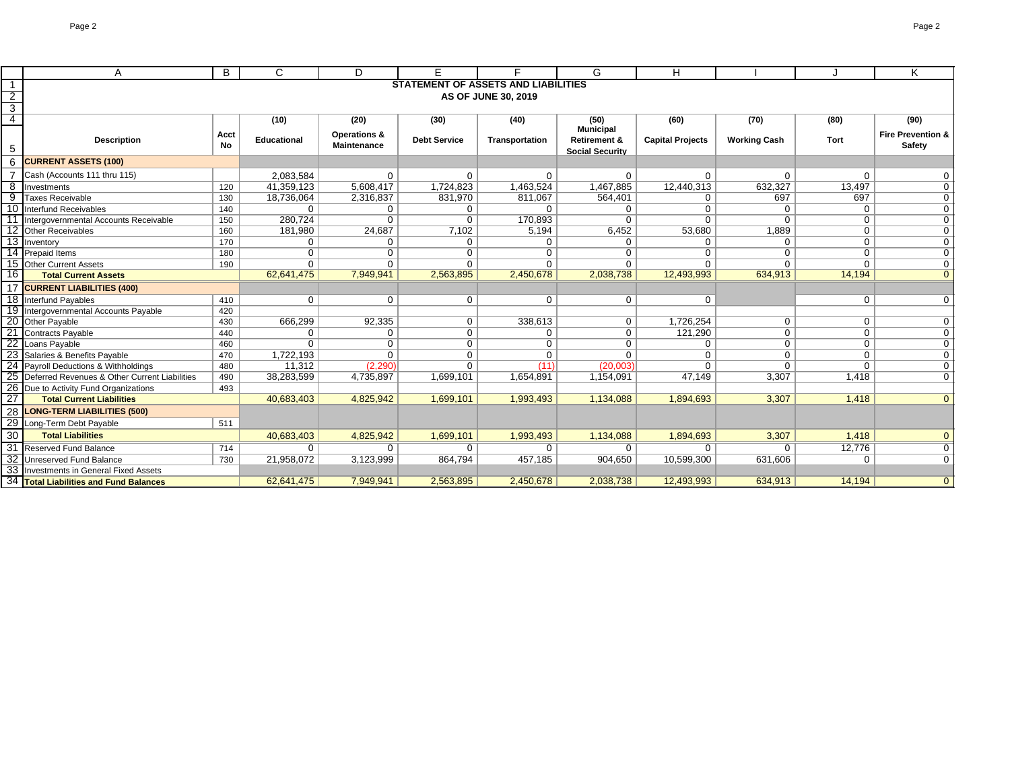|                 | A                                                             | B    | $\mathsf{C}$       | D            |                                            | Е                   | G                        | н                       |                     |             | K                              |
|-----------------|---------------------------------------------------------------|------|--------------------|--------------|--------------------------------------------|---------------------|--------------------------|-------------------------|---------------------|-------------|--------------------------------|
|                 |                                                               |      |                    |              | <b>STATEMENT OF ASSETS AND LIABILITIES</b> |                     |                          |                         |                     |             |                                |
| $\overline{2}$  |                                                               |      |                    |              |                                            | AS OF JUNE 30, 2019 |                          |                         |                     |             |                                |
| $\overline{3}$  |                                                               |      |                    |              |                                            |                     |                          |                         |                     |             |                                |
| $\overline{4}$  |                                                               |      | (10)               | (20)         | (30)                                       | (40)                | (50)                     | (60)                    | (70)                | (80)        | (90)                           |
|                 |                                                               | Acct |                    | Operations & |                                            |                     | <b>Municipal</b>         |                         |                     |             | <b>Fire Prevention &amp;</b>   |
| 5               | <b>Description</b>                                            | No   | <b>Educational</b> | Maintenance  | <b>Debt Service</b>                        | Transportation      | <b>Retirement &amp;</b>  | <b>Capital Projects</b> | <b>Working Cash</b> | Tort        | Safety                         |
| 6               | <b>CURRENT ASSETS (100)</b>                                   |      |                    |              |                                            |                     | <b>Social Security</b>   |                         |                     |             |                                |
|                 | Cash (Accounts 111 thru 115)                                  |      | 2,083,584          | 0            | $\mathbf 0$                                | $\Omega$            |                          |                         |                     | $\Omega$    |                                |
| 8               |                                                               |      | 41,359,123         | 5,608,417    | 1,724,823                                  | 1,463,524           | 0<br>1,467,885           | 0<br>12,440,313         | 0<br>632,327        | 13,497      | 0<br>$\mathbf 0$               |
| 9               | Investments<br><b>Taxes Receivable</b>                        | 120  | 18,736,064         | 2,316,837    | 831,970                                    | 811,067             | 564,401                  |                         | 697                 | 697         | $\overline{0}$                 |
|                 | 10 Interfund Receivables                                      | 130  |                    |              |                                            |                     |                          | $\mathbf{0}$            |                     |             |                                |
|                 |                                                               | 140  | $\mathbf{0}$       | 0            | 0<br>$\Omega$                              | $\Omega$            | $\mathbf{0}$<br>$\Omega$ | 0                       | 0                   | $\Omega$    | $\overline{0}$                 |
|                 | Intergovernmental Accounts Receivable                         | 150  | 280,724            | $\mathbf 0$  |                                            | 170,893             |                          | $\Omega$                | $\Omega$            | $\mathbf 0$ | $\overline{0}$                 |
|                 | 12 Other Receivables                                          | 160  | 181,980            | 24,687       | 7,102                                      | 5,194               | 6,452                    | 53,680                  | 1,889               | $\mathbf 0$ | $\mathbf 0$                    |
|                 | 13 Inventory                                                  | 170  | 0                  | 0            | 0                                          | $\Omega$            | $\Omega$                 | $\mathbf{0}$            | $\Omega$            | $\mathbf 0$ | $\mathbf 0$                    |
|                 | 14 Prepaid Items                                              | 180  | $\mathbf 0$        | $\Omega$     | $\mathbf 0$                                | $\Omega$            | $\mathbf 0$              | 0                       | $\Omega$            | $\Omega$    | $\mathbf{0}$                   |
| 16              | 15 Other Current Assets<br>190<br><b>Total Current Assets</b> |      | $\Omega$           | $\Omega$     | $\Omega$                                   | $\Omega$            | $\Omega$                 | $\Omega$                | $\Omega$            | $\Omega$    | $\mathbf{0}$<br>$\overline{0}$ |
|                 |                                                               |      | 62,641,475         | 7,949,941    | 2,563,895                                  | 2,450,678           | 2,038,738                | 12,493,993              | 634,913             | 14,194      |                                |
|                 | 17 CURRENT LIABILITIES (400)                                  |      |                    |              |                                            |                     |                          |                         |                     |             |                                |
|                 | 18 Interfund Payables                                         | 410  | 0                  | $\mathbf{0}$ | 0                                          | 0                   | $\mathbf{0}$             | 0                       |                     | $\mathbf 0$ | $\overline{0}$                 |
|                 | 19 Intergovernmental Accounts Payable                         | 420  |                    |              |                                            |                     |                          |                         |                     |             |                                |
| $\overline{20}$ | Other Payable                                                 | 430  | 666,299            | 92,335       | 0                                          | 338,613             | $\mathbf{0}$             | 1,726,254               | $\mathbf 0$         | $\mathbf 0$ | $\overline{0}$                 |
|                 | <b>Contracts Payable</b>                                      | 440  | 0                  | $\Omega$     | $\mathbf 0$                                | $\Omega$            | $\overline{0}$           | 121,290                 | $\mathbf 0$         | $\Omega$    | $\mathbf{0}$                   |
| 22              | Loans Payable                                                 | 460  | $\Omega$           | $\Omega$     | $\mathbf 0$                                | $\Omega$            | $\Omega$                 | $\mathbf{0}$            | 0                   | $\mathbf 0$ | $\overline{0}$                 |
|                 | 23 Salaries & Benefits Payable                                | 470  | 1,722,193          | $\Omega$     | $\mathbf 0$                                | $\Omega$            | $\Omega$                 | 0                       | $\Omega$            | $\Omega$    | $\overline{0}$                 |
|                 | 24 Payroll Deductions & Withholdings                          | 480  | 11,312             | (2,290)      | $\Omega$                                   | (11)                | (20,003)                 | $\Omega$                | $\Omega$            | $\Omega$    | $\overline{0}$                 |
|                 | 25 Deferred Revenues & Other Current Liabilities              | 490  | 38,283,599         | 4,735,897    | 1,699,101                                  | 1,654,891           | 1,154,091                | 47,149                  | 3,307               | 1,418       | $\overline{0}$                 |
| 26              | Due to Activity Fund Organizations                            | 493  |                    |              |                                            |                     |                          |                         |                     |             |                                |
| 27              | <b>Total Current Liabilities</b>                              |      | 40,683,403         | 4,825,942    | 1,699,101                                  | 1,993,493           | 1,134,088                | 1,894,693               | 3,307               | 1,418       | $\overline{0}$                 |
| 28              | <b>LONG-TERM LIABILITIES (500)</b>                            |      |                    |              |                                            |                     |                          |                         |                     |             |                                |
| 29              | Long-Term Debt Payable                                        | 511  |                    |              |                                            |                     |                          |                         |                     |             |                                |
| 30              | <b>Total Liabilities</b>                                      |      | 40,683,403         | 4,825,942    | 1,699,101                                  | 1,993,493           | 1,134,088                | 1,894,693               | 3,307               | 1.418       | $\mathbf{0}$                   |
| $\overline{31}$ | Reserved Fund Balance                                         | 714  | $\mathbf{0}$       | 0            | 0                                          | $\mathbf{0}$        | $\mathbf 0$              | $\mathbf{0}$            | 0                   | 12,776      | $\overline{0}$                 |
|                 | 32 Unreserved Fund Balance                                    | 730  | 21,958,072         | 3,123,999    | 864,794                                    | 457,185             | 904,650                  | 10,599,300              | 631,606             | $\Omega$    | $\overline{0}$                 |
|                 | 33 Investments in General Fixed Assets                        |      |                    |              |                                            |                     |                          |                         |                     |             |                                |
|                 | 34 Total Liabilities and Fund Balances                        |      | 62.641.475         | 7,949,941    | 2,563,895                                  | 2,450,678           | 2,038,738                | 12.493.993              | 634.913             | 14.194      | $\overline{0}$                 |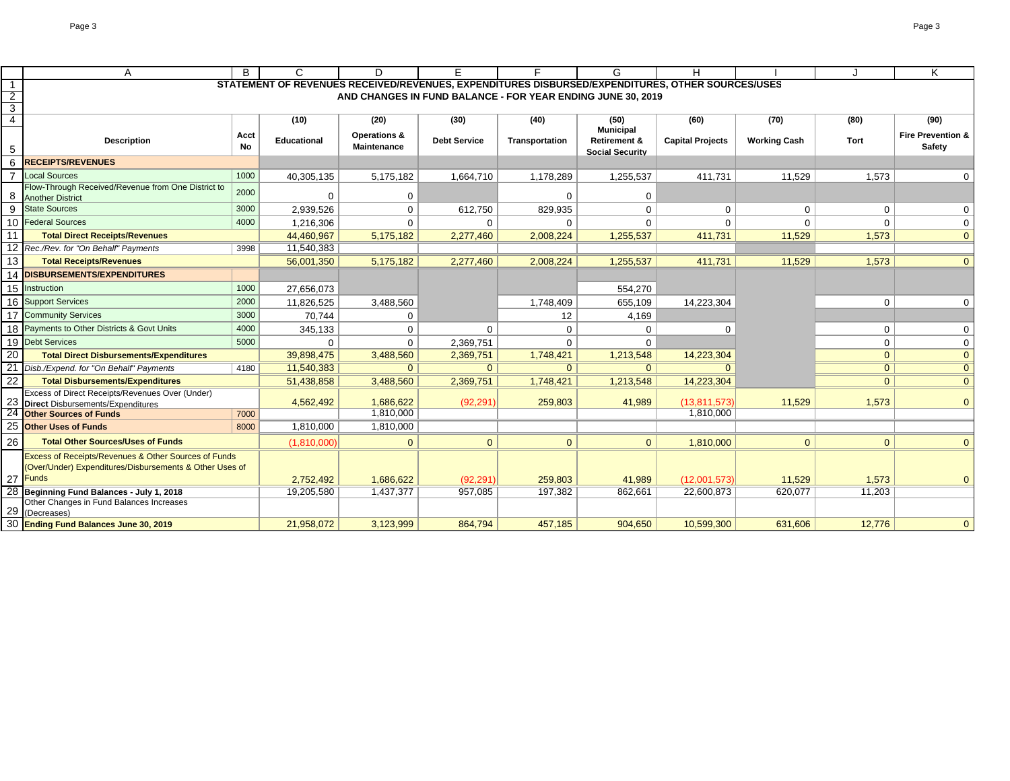|                 | Α                                                                                                                                      | B          | C                  | D                           |                                                             |                | G                                                 | H                                                                                                |                     |                | Κ                                      |
|-----------------|----------------------------------------------------------------------------------------------------------------------------------------|------------|--------------------|-----------------------------|-------------------------------------------------------------|----------------|---------------------------------------------------|--------------------------------------------------------------------------------------------------|---------------------|----------------|----------------------------------------|
| $\overline{1}$  |                                                                                                                                        |            |                    |                             |                                                             |                |                                                   | STATEMENT OF REVENUES RECEIVED/REVENUES, EXPENDITURES DISBURSED/EXPENDITURES, OTHER SOURCES/USES |                     |                |                                        |
| $\overline{2}$  |                                                                                                                                        |            |                    |                             | AND CHANGES IN FUND BALANCE - FOR YEAR ENDING JUNE 30, 2019 |                |                                                   |                                                                                                  |                     |                |                                        |
| $\overline{3}$  |                                                                                                                                        |            |                    |                             |                                                             |                |                                                   |                                                                                                  |                     |                |                                        |
| $\overline{4}$  |                                                                                                                                        |            | (10)               | (20)                        | (30)                                                        | (40)           | (50)<br><b>Municipal</b>                          | (60)                                                                                             | (70)                | (80)           | (90)                                   |
| 5               | <b>Description</b>                                                                                                                     | Acct<br>No | <b>Educational</b> | Operations &<br>Maintenance | <b>Debt Service</b>                                         | Transportation | <b>Retirement &amp;</b><br><b>Social Security</b> | <b>Capital Projects</b>                                                                          | <b>Working Cash</b> | Tort           | <b>Fire Prevention &amp;</b><br>Safety |
| 6               | <b>RECEIPTS/REVENUES</b>                                                                                                               |            |                    |                             |                                                             |                |                                                   |                                                                                                  |                     |                |                                        |
|                 | <b>Local Sources</b>                                                                                                                   | 1000       | 40,305,135         | 5,175,182                   | 1,664,710                                                   | 1,178,289      | 1,255,537                                         | 411,731                                                                                          | 11,529              | 1,573          | 0                                      |
| 8               | Flow-Through Received/Revenue from One District to<br><b>Another District</b>                                                          | 2000       | 0                  | $\mathbf 0$                 |                                                             | 0              | 0                                                 |                                                                                                  |                     |                |                                        |
| 9               | <b>State Sources</b>                                                                                                                   | 3000       | 2,939,526          | $\mathbf 0$                 | 612,750                                                     | 829,935        | 0                                                 | $\Omega$                                                                                         | $\Omega$            | $\Omega$       | $\Omega$                               |
|                 | 10 Federal Sources                                                                                                                     | 4000       | 1,216,306          | $\mathbf 0$                 | 0                                                           | $\mathbf 0$    | $\mathbf 0$                                       | $\Omega$                                                                                         | $\Omega$            | $\Omega$       | $\mathbf 0$                            |
| 11              | <b>Total Direct Receipts/Revenues</b>                                                                                                  |            | 44.460.967         | 5,175,182                   | 2.277.460                                                   | 2,008,224      | 1,255,537                                         | 411,731                                                                                          | 11,529              | 1,573          | $\overline{0}$                         |
| 12 <sup>2</sup> | Rec./Rev. for "On Behalf" Payments                                                                                                     | 3998       | 11,540,383         |                             |                                                             |                |                                                   |                                                                                                  |                     |                |                                        |
| 13              | <b>Total Receipts/Revenues</b>                                                                                                         |            | 56,001,350         | 5,175,182                   | 2,277,460                                                   | 2,008,224      | 1,255,537                                         | 411,731                                                                                          | 11,529              | 1,573          | $\overline{0}$                         |
|                 | <b>14 DISBURSEMENTS/EXPENDITURES</b>                                                                                                   |            |                    |                             |                                                             |                |                                                   |                                                                                                  |                     |                |                                        |
|                 | 15 Instruction                                                                                                                         | 1000       | 27,656,073         |                             |                                                             |                | 554,270                                           |                                                                                                  |                     |                |                                        |
| 16              | <b>Support Services</b>                                                                                                                | 2000       | 11,826,525         | 3,488,560                   |                                                             | 1,748,409      | 655,109                                           | 14,223,304                                                                                       |                     | $\mathbf 0$    | 0                                      |
| 17              | <b>Community Services</b>                                                                                                              | 3000       | 70.744             | 0                           |                                                             | 12             | 4,169                                             |                                                                                                  |                     |                |                                        |
| 18              | <b>Payments to Other Districts &amp; Govt Units</b>                                                                                    | 4000       | 345,133            | $\mathbf 0$                 | $\Omega$                                                    | $\mathbf 0$    | 0                                                 | $\Omega$                                                                                         |                     | $\mathbf 0$    | 0                                      |
|                 | 19 Debt Services                                                                                                                       | 5000       | 0                  | $\mathbf 0$                 | 2,369,751                                                   | $\Omega$       | $\mathbf 0$                                       |                                                                                                  |                     | $\mathbf 0$    | 0                                      |
| 20              | <b>Total Direct Disbursements/Expenditures</b>                                                                                         |            | 39,898,475         | 3,488,560                   | 2,369,751                                                   | 1,748,421      | 1,213,548                                         | 14,223,304                                                                                       |                     | $\Omega$       | $\overline{0}$                         |
|                 | Disb./Expend. for "On Behalf" Payments                                                                                                 | 4180       | 11,540,383         | 0                           | $\overline{0}$                                              | $\Omega$       | $\Omega$                                          | $\Omega$                                                                                         |                     | 0 <sup>1</sup> | $\overline{0}$                         |
| 22              | <b>Total Disbursements/Expenditures</b>                                                                                                |            | 51,438,858         | 3,488,560                   | 2,369,751                                                   | 1,748,421      | 1,213,548                                         | 14,223,304                                                                                       |                     | $\overline{0}$ | $\overline{0}$                         |
|                 | Excess of Direct Receipts/Revenues Over (Under)                                                                                        |            |                    |                             |                                                             |                |                                                   |                                                                                                  |                     |                |                                        |
| 23              | <b>Direct</b> Disbursements/Expenditures                                                                                               |            | 4,562,492          | 1,686,622                   | (92, 291)                                                   | 259,803        | 41,989                                            | (13, 811, 573)                                                                                   | 11,529              | 1,573          | $\mathbf{0}$                           |
|                 | <b>Other Sources of Funds</b>                                                                                                          | 7000       |                    | 1,810,000                   |                                                             |                |                                                   | 1,810,000                                                                                        |                     |                |                                        |
| 25              | <b>Other Uses of Funds</b>                                                                                                             | 8000       | 1,810,000          | 1,810,000                   |                                                             |                |                                                   |                                                                                                  |                     |                |                                        |
| 26              | <b>Total Other Sources/Uses of Funds</b>                                                                                               |            | (1,810,000)        | $\mathbf{0}$                | $\overline{0}$                                              | $\Omega$       | $\mathbf{0}$                                      | 1,810,000                                                                                        | $\Omega$            | $\mathbf{0}$   | $\mathbf{0}$                           |
|                 | <b>Excess of Receipts/Revenues &amp; Other Sources of Funds</b><br>(Over/Under) Expenditures/Disbursements & Other Uses of<br>27 Funds |            | 2,752,492          | 1,686,622                   | (92, 291)                                                   | 259,803        | 41,989                                            | (12,001,573)                                                                                     | 11,529              | 1,573          | $\Omega$                               |
|                 | 28 Beginning Fund Balances - July 1, 2018                                                                                              |            | 19,205,580         | 1,437,377                   | 957,085                                                     | 197,382        | 862,661                                           | 22.600.873                                                                                       | 620.077             | 11,203         |                                        |
|                 | Other Changes in Fund Balances Increases<br>29 (Decreases)                                                                             |            |                    |                             |                                                             |                |                                                   |                                                                                                  |                     |                |                                        |
|                 | 30 Ending Fund Balances June 30, 2019                                                                                                  |            | 21,958,072         | 3,123,999                   | 864,794                                                     | 457,185        | 904,650                                           | 10,599,300                                                                                       | 631,606             | 12,776         | $\mathbf{0}$                           |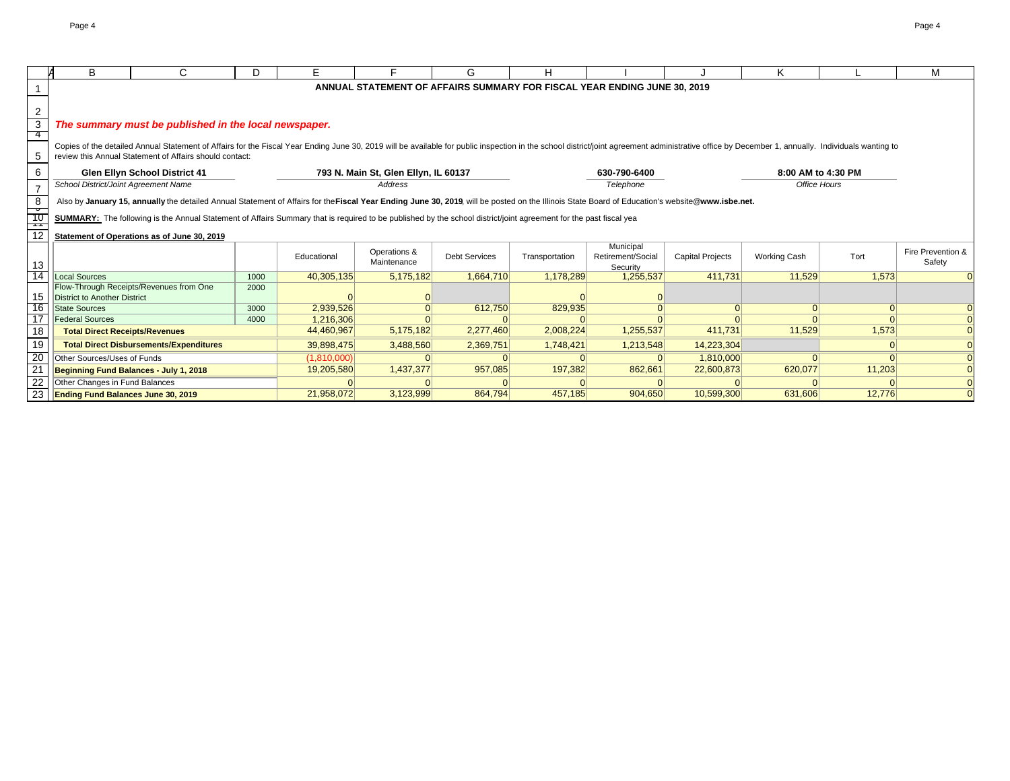|                           | B                                           | C.                                                                                                                                                                                                                                                                                        | D.   | F           |                                      | G                    | н              |                                                                          |                         | ĸ                   |          | М                           |
|---------------------------|---------------------------------------------|-------------------------------------------------------------------------------------------------------------------------------------------------------------------------------------------------------------------------------------------------------------------------------------------|------|-------------|--------------------------------------|----------------------|----------------|--------------------------------------------------------------------------|-------------------------|---------------------|----------|-----------------------------|
|                           |                                             |                                                                                                                                                                                                                                                                                           |      |             |                                      |                      |                | ANNUAL STATEMENT OF AFFAIRS SUMMARY FOR FISCAL YEAR ENDING JUNE 30, 2019 |                         |                     |          |                             |
|                           |                                             |                                                                                                                                                                                                                                                                                           |      |             |                                      |                      |                |                                                                          |                         |                     |          |                             |
| $\overline{c}$            |                                             |                                                                                                                                                                                                                                                                                           |      |             |                                      |                      |                |                                                                          |                         |                     |          |                             |
| $\overline{\overline{3}}$ |                                             | The summary must be published in the local newspaper.                                                                                                                                                                                                                                     |      |             |                                      |                      |                |                                                                          |                         |                     |          |                             |
| 4                         |                                             |                                                                                                                                                                                                                                                                                           |      |             |                                      |                      |                |                                                                          |                         |                     |          |                             |
| 5                         |                                             | Copies of the detailed Annual Statement of Affairs for the Fiscal Year Ending June 30, 2019 will be available for public inspection in the school district/joint agreement administrative office by December 1, annually. Indi<br>review this Annual Statement of Affairs should contact: |      |             |                                      |                      |                |                                                                          |                         |                     |          |                             |
| 6                         |                                             | <b>Glen Ellyn School District 41</b>                                                                                                                                                                                                                                                      |      |             | 793 N. Main St, Glen Ellyn, IL 60137 |                      |                | 630-790-6400                                                             |                         | 8:00 AM to 4:30 PM  |          |                             |
| $\overline{7}$            | School District/Joint Agreement Name        |                                                                                                                                                                                                                                                                                           |      |             | Address                              |                      |                | Telephone                                                                |                         | Office Hours        |          |                             |
| $\frac{8}{12}$            |                                             | Also by January 15, annually the detailed Annual Statement of Affairs for the Fiscal Year Ending June 30, 2019, will be posted on the Illinois State Board of Education's website@www.isbe.net.                                                                                           |      |             |                                      |                      |                |                                                                          |                         |                     |          |                             |
|                           |                                             | SUMMARY: The following is the Annual Statement of Affairs Summary that is required to be published by the school district/joint agreement for the past fiscal yea                                                                                                                         |      |             |                                      |                      |                |                                                                          |                         |                     |          |                             |
|                           | Statement of Operations as of June 30, 2019 |                                                                                                                                                                                                                                                                                           |      |             |                                      |                      |                |                                                                          |                         |                     |          |                             |
| 13                        |                                             |                                                                                                                                                                                                                                                                                           |      | Educational | Operations &<br>Maintenance          | <b>Debt Services</b> | Transportation | Municipal<br>Retirement/Social<br>Security                               | <b>Capital Projects</b> | <b>Working Cash</b> | Tort     | Fire Prevention &<br>Safety |
| $\overline{14}$           | Local Sources                               |                                                                                                                                                                                                                                                                                           | 1000 | 40,305,135  | 5,175,182                            | 1,664,710            | 1,178,289      | 1,255,537                                                                | 411.731                 | 11,529              | 1.573    |                             |
| 15                        | <b>District to Another District</b>         | Flow-Through Receipts/Revenues from One                                                                                                                                                                                                                                                   | 2000 |             |                                      |                      |                |                                                                          |                         |                     |          |                             |
| 16                        | <b>State Sources</b>                        |                                                                                                                                                                                                                                                                                           | 3000 | 2,939,526   |                                      | 612,750              | 829,935        |                                                                          | $\Omega$                | 0                   | $\Omega$ |                             |
| $\overline{17}$           | <b>Federal Sources</b>                      |                                                                                                                                                                                                                                                                                           | 4000 | 1,216,306   |                                      |                      |                |                                                                          |                         |                     |          |                             |
| 18                        | <b>Total Direct Receipts/Revenues</b>       |                                                                                                                                                                                                                                                                                           |      | 44,460,967  | 5,175,182                            | 2,277,460            | 2,008,224      | 1,255,537                                                                | 411,731                 | 11,529              | 1,573    |                             |
| 19                        |                                             | <b>Total Direct Disbursements/Expenditures</b>                                                                                                                                                                                                                                            |      | 39,898,475  | 3,488,560                            | 2,369,751            | 1,748,421      | 1,213,548                                                                | 14,223,304              |                     | $\Omega$ |                             |
| $\frac{20}{21}$           | Other Sources/Uses of Funds                 |                                                                                                                                                                                                                                                                                           |      | (1,810,000) |                                      |                      |                |                                                                          | 1,810,000               |                     | $\Omega$ |                             |
|                           |                                             | Beginning Fund Balances - July 1, 2018                                                                                                                                                                                                                                                    |      | 19,205,580  | 1,437,377                            | 957,085              | 197,382        | 862,661                                                                  | 22,600,873              | 620,077             | 11,203   |                             |
| 22                        | Other Changes in Fund Balances              |                                                                                                                                                                                                                                                                                           |      |             |                                      |                      |                |                                                                          |                         |                     |          |                             |
| $\frac{1}{23}$            | <b>Ending Fund Balances June 30, 2019</b>   |                                                                                                                                                                                                                                                                                           |      | 21,958,072  | 3,123,999                            | 864,794              | 457,185        | 904,650                                                                  | 10,599,300              | 631,606             | 12,776   |                             |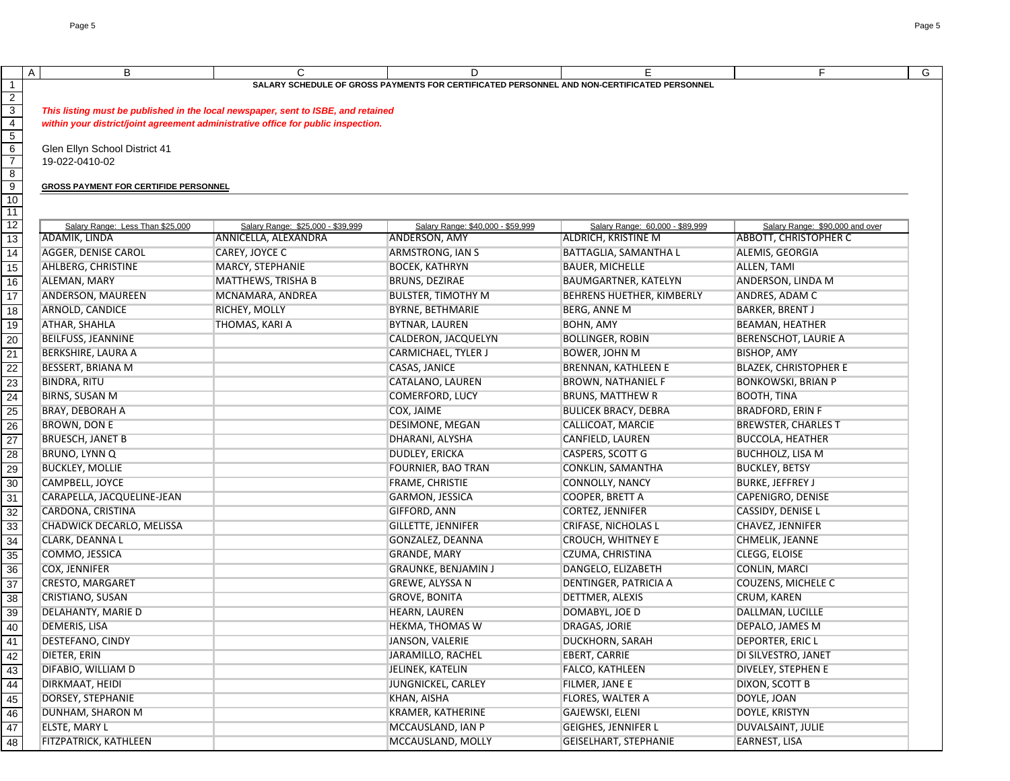|                                |                                                                                   |                                                                                   |                                                                                                  |                                 | F                               |   |
|--------------------------------|-----------------------------------------------------------------------------------|-----------------------------------------------------------------------------------|--------------------------------------------------------------------------------------------------|---------------------------------|---------------------------------|---|
|                                | B<br>$\mathsf{A}$                                                                 | C                                                                                 | D<br>SALARY SCHEDULE OF GROSS PAYMENTS FOR CERTIFICATED PERSONNEL AND NON-CERTIFICATED PERSONNEL | E                               |                                 | G |
| $\mathbf{1}$<br>$\overline{2}$ |                                                                                   |                                                                                   |                                                                                                  |                                 |                                 |   |
|                                |                                                                                   |                                                                                   |                                                                                                  |                                 |                                 |   |
| $\frac{3}{4}$                  |                                                                                   | This listing must be published in the local newspaper, sent to ISBE, and retained |                                                                                                  |                                 |                                 |   |
| $\overline{5}$                 | within your district/joint agreement administrative office for public inspection. |                                                                                   |                                                                                                  |                                 |                                 |   |
|                                | Glen Ellyn School District 41                                                     |                                                                                   |                                                                                                  |                                 |                                 |   |
| $\frac{6}{7}$                  | 19-022-0410-02                                                                    |                                                                                   |                                                                                                  |                                 |                                 |   |
| $\bf 8$                        |                                                                                   |                                                                                   |                                                                                                  |                                 |                                 |   |
|                                | <b>GROSS PAYMENT FOR CERTIFIDE PERSONNEL</b>                                      |                                                                                   |                                                                                                  |                                 |                                 |   |
| $\frac{9}{10}$                 |                                                                                   |                                                                                   |                                                                                                  |                                 |                                 |   |
| 11                             |                                                                                   |                                                                                   |                                                                                                  |                                 |                                 |   |
| $12 \,$                        | Salary Range: Less Than \$25,000                                                  | Salary Range: \$25,000 - \$39,999                                                 | Salary Range: \$40,000 - \$59,999                                                                | Salary Range: 60,000 - \$89,999 | Salary Range: \$90,000 and over |   |
| $\overline{13}$                | ADAMIK, LINDA                                                                     | ANNICELLA, ALEXANDRA                                                              | <b>ANDERSON, AMY</b>                                                                             | <b>ALDRICH, KRISTINE M</b>      | <b>ABBOTT, CHRISTOPHER C</b>    |   |
| 14                             | AGGER, DENISE CAROL                                                               | CAREY, JOYCE C                                                                    | <b>ARMSTRONG, IAN S</b>                                                                          | BATTAGLIA, SAMANTHA L           | ALEMIS, GEORGIA                 |   |
| $\overline{15}$                | AHLBERG, CHRISTINE                                                                | MARCY, STEPHANIE                                                                  | <b>BOCEK, KATHRYN</b>                                                                            | <b>BAUER, MICHELLE</b>          | ALLEN, TAMI                     |   |
| $\overline{16}$                | ALEMAN, MARY                                                                      | <b>MATTHEWS, TRISHA B</b>                                                         | BRUNS, DEZIRAE                                                                                   | BAUMGARTNER, KATELYN            | ANDERSON, LINDA M               |   |
| $\overline{17}$                | ANDERSON, MAUREEN                                                                 | MCNAMARA, ANDREA                                                                  | <b>BULSTER, TIMOTHY M</b>                                                                        | BEHRENS HUETHER, KIMBERLY       | ANDRES, ADAM C                  |   |
|                                |                                                                                   |                                                                                   |                                                                                                  |                                 |                                 |   |
| $\overline{18}$                | ARNOLD, CANDICE                                                                   | RICHEY, MOLLY                                                                     | <b>BYRNE, BETHMARIE</b>                                                                          | BERG, ANNE M                    | <b>BARKER, BRENT J</b>          |   |
| 19                             | <b>ATHAR, SHAHLA</b>                                                              | THOMAS, KARI A                                                                    | <b>BYTNAR, LAUREN</b>                                                                            | <b>BOHN, AMY</b>                | <b>BEAMAN, HEATHER</b>          |   |
| $\overline{20}$                | <b>BEILFUSS, JEANNINE</b>                                                         |                                                                                   | CALDERON, JACQUELYN                                                                              | <b>BOLLINGER, ROBIN</b>         | <b>BERENSCHOT, LAURIE A</b>     |   |
| $\overline{21}$                | <b>BERKSHIRE, LAURA A</b>                                                         |                                                                                   | <b>CARMICHAEL, TYLER J</b>                                                                       | <b>BOWER, JOHN M</b>            | <b>BISHOP, AMY</b>              |   |
|                                | <b>BESSERT, BRIANA M</b>                                                          |                                                                                   | CASAS, JANICE                                                                                    | <b>BRENNAN, KATHLEEN E</b>      | <b>BLAZEK, CHRISTOPHER E</b>    |   |
| 22<br>23                       | <b>BINDRA, RITU</b>                                                               |                                                                                   | CATALANO, LAUREN                                                                                 | <b>BROWN, NATHANIEL F</b>       | <b>BONKOWSKI, BRIAN P</b>       |   |
| $\overline{24}$                | <b>BIRNS, SUSAN M</b>                                                             |                                                                                   | <b>COMERFORD, LUCY</b>                                                                           | <b>BRUNS, MATTHEW R</b>         | <b>BOOTH, TINA</b>              |   |
| 25                             | <b>BRAY, DEBORAH A</b>                                                            |                                                                                   | COX, JAIME                                                                                       | <b>BULICEK BRACY, DEBRA</b>     | <b>BRADFORD, ERIN F</b>         |   |
| $\overline{26}$                | <b>BROWN, DON E</b>                                                               |                                                                                   | <b>DESIMONE, MEGAN</b>                                                                           | CALLICOAT, MARCIE               | <b>BREWSTER, CHARLES T</b>      |   |
| $\overline{27}$                | <b>BRUESCH, JANET B</b>                                                           |                                                                                   | DHARANI, ALYSHA                                                                                  | CANFIELD, LAUREN                | <b>BUCCOLA, HEATHER</b>         |   |
| 28                             | <b>BRUNO, LYNN Q</b>                                                              |                                                                                   | <b>DUDLEY, ERICKA</b>                                                                            | <b>CASPERS, SCOTT G</b>         | <b>BUCHHOLZ, LISA M</b>         |   |
| 29                             | <b>BUCKLEY, MOLLIE</b>                                                            |                                                                                   | FOURNIER, BAO TRAN                                                                               | CONKLIN, SAMANTHA               | <b>BUCKLEY, BETSY</b>           |   |
| $\overline{30}$                | CAMPBELL, JOYCE                                                                   |                                                                                   | FRAME, CHRISTIE                                                                                  | <b>CONNOLLY, NANCY</b>          | <b>BURKE, JEFFREY J</b>         |   |
| 31                             | CARAPELLA, JACQUELINE-JEAN                                                        |                                                                                   | <b>GARMON, JESSICA</b>                                                                           | COOPER, BRETT A                 | CAPENIGRO, DENISE               |   |
| 32                             | CARDONA, CRISTINA                                                                 |                                                                                   | <b>GIFFORD, ANN</b>                                                                              | <b>CORTEZ, JENNIFER</b>         | <b>CASSIDY, DENISE L</b>        |   |
| 33                             |                                                                                   |                                                                                   |                                                                                                  |                                 |                                 |   |
|                                | CHADWICK DECARLO, MELISSA                                                         |                                                                                   | <b>GILLETTE, JENNIFER</b>                                                                        | <b>CRIFASE, NICHOLAS L</b>      | <b>CHAVEZ, JENNIFER</b>         |   |
| 34                             | CLARK, DEANNA L                                                                   |                                                                                   | <b>GONZALEZ, DEANNA</b>                                                                          | <b>CROUCH, WHITNEY E</b>        | CHMELIK, JEANNE                 |   |
| 35                             | COMMO, JESSICA                                                                    |                                                                                   | <b>GRANDE, MARY</b>                                                                              | CZUMA, CHRISTINA                | CLEGG, ELOISE                   |   |
| 36                             | <b>COX, JENNIFER</b>                                                              |                                                                                   | <b>GRAUNKE, BENJAMIN J</b>                                                                       | DANGELO, ELIZABETH              | <b>CONLIN, MARCI</b>            |   |
| 37                             | <b>CRESTO, MARGARET</b>                                                           |                                                                                   | <b>GREWE, ALYSSA N</b>                                                                           | DENTINGER, PATRICIA A           | <b>COUZENS, MICHELE C</b>       |   |
| 38                             | <b>CRISTIANO, SUSAN</b>                                                           |                                                                                   | <b>GROVE, BONITA</b>                                                                             | DETTMER, ALEXIS                 | CRUM, KAREN                     |   |
| 39                             | DELAHANTY, MARIE D                                                                |                                                                                   | <b>HEARN, LAUREN</b>                                                                             | DOMABYL, JOE D                  | DALLMAN, LUCILLE                |   |
| 40                             | DEMERIS, LISA                                                                     |                                                                                   | <b>HEKMA, THOMAS W</b>                                                                           | <b>DRAGAS, JORIE</b>            | DEPALO, JAMES M                 |   |
| 41                             | DESTEFANO, CINDY                                                                  |                                                                                   | JANSON, VALERIE                                                                                  | DUCKHORN, SARAH                 | <b>DEPORTER, ERIC L</b>         |   |
| 42                             | DIETER, ERIN                                                                      |                                                                                   | JARAMILLO, RACHEL                                                                                | EBERT, CARRIE                   | DI SILVESTRO, JANET             |   |
| 43                             | DIFABIO, WILLIAM D                                                                |                                                                                   | JELINEK, KATELIN                                                                                 | FALCO, KATHLEEN                 | <b>DIVELEY, STEPHEN E</b>       |   |
| 44                             | DIRKMAAT, HEIDI                                                                   |                                                                                   | JUNGNICKEL, CARLEY                                                                               | FILMER, JANE E                  | DIXON, SCOTT B                  |   |
| 45                             | <b>DORSEY, STEPHANIE</b>                                                          |                                                                                   | <b>KHAN, AISHA</b>                                                                               | <b>FLORES, WALTER A</b>         | DOYLE, JOAN                     |   |
| 46                             | DUNHAM, SHARON M                                                                  |                                                                                   | <b>KRAMER, KATHERINE</b>                                                                         | <b>GAJEWSKI, ELENI</b>          | DOYLE, KRISTYN                  |   |
| 47                             | ELSTE, MARY L                                                                     |                                                                                   | MCCAUSLAND, IAN P                                                                                | <b>GEIGHES, JENNIFER L</b>      | <b>DUVALSAINT, JULIE</b>        |   |
| 48                             | FITZPATRICK, KATHLEEN                                                             |                                                                                   | MCCAUSLAND, MOLLY                                                                                | <b>GEISELHART, STEPHANIE</b>    | <b>EARNEST, LISA</b>            |   |
|                                |                                                                                   |                                                                                   |                                                                                                  |                                 |                                 |   |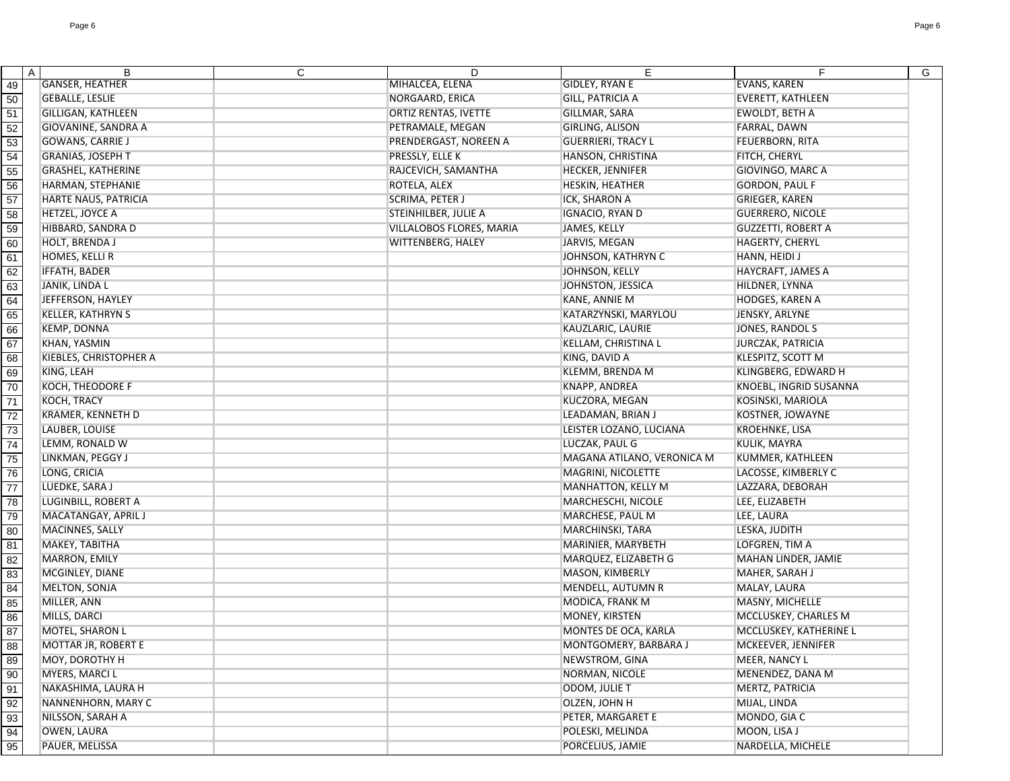|                 | A | B                             | C | D                           | E                          | F                         | G |
|-----------------|---|-------------------------------|---|-----------------------------|----------------------------|---------------------------|---|
| 49              |   | <b>GANSER, HEATHER</b>        |   | MIHALCEA, ELENA             | <b>GIDLEY, RYAN E</b>      | <b>EVANS, KAREN</b>       |   |
| 50              |   | <b>GEBALLE, LESLIE</b>        |   | NORGAARD, ERICA             | <b>GILL, PATRICIA A</b>    | <b>EVERETT, KATHLEEN</b>  |   |
| 51              |   | <b>GILLIGAN, KATHLEEN</b>     |   | <b>ORTIZ RENTAS, IVETTE</b> | GILLMAR, SARA              | <b>EWOLDT, BETH A</b>     |   |
| 52              |   | GIOVANINE, SANDRA A           |   | PETRAMALE, MEGAN            | <b>GIRLING, ALISON</b>     | FARRAL, DAWN              |   |
| 53              |   | <b>GOWANS, CARRIE J</b>       |   | PRENDERGAST, NOREEN A       | <b>GUERRIERI, TRACY L</b>  | <b>FEUERBORN, RITA</b>    |   |
| 54              |   | <b>GRANIAS, JOSEPH T</b>      |   | PRESSLY, ELLE K             | HANSON, CHRISTINA          | FITCH, CHERYL             |   |
| 55              |   | <b>GRASHEL, KATHERINE</b>     |   | RAJCEVICH, SAMANTHA         | <b>HECKER, JENNIFER</b>    | <b>GIOVINGO, MARC A</b>   |   |
| 56              |   | HARMAN, STEPHANIE             |   | ROTELA, ALEX                | HESKIN, HEATHER            | <b>GORDON, PAUL F</b>     |   |
| $\overline{57}$ |   | <b>HARTE NAUS, PATRICIA</b>   |   | <b>SCRIMA, PETER J</b>      | ICK, SHARON A              | <b>GRIEGER, KAREN</b>     |   |
| 58              |   | HETZEL, JOYCE A               |   | STEINHILBER, JULIE A        | IGNACIO, RYAN D            | <b>GUERRERO, NICOLE</b>   |   |
| 59              |   | HIBBARD, SANDRA D             |   | VILLALOBOS FLORES, MARIA    | <b>JAMES, KELLY</b>        | <b>GUZZETTI, ROBERT A</b> |   |
| 60              |   | HOLT, BRENDA J                |   | WITTENBERG, HALEY           | JARVIS, MEGAN              | HAGERTY, CHERYL           |   |
| 61              |   | HOMES, KELLI R                |   |                             | JOHNSON, KATHRYN C         | HANN, HEIDI J             |   |
| 62              |   | <b>IFFATH, BADER</b>          |   |                             | JOHNSON, KELLY             | HAYCRAFT, JAMES A         |   |
| 63              |   | JANIK, LINDA L                |   |                             | JOHNSTON, JESSICA          | HILDNER, LYNNA            |   |
| 64              |   | JEFFERSON, HAYLEY             |   |                             | KANE, ANNIE M              | <b>HODGES, KAREN A</b>    |   |
| 65              |   | <b>KELLER, KATHRYN S</b>      |   |                             | KATARZYNSKI, MARYLOU       | JENSKY, ARLYNE            |   |
| 66              |   | <b>KEMP, DONNA</b>            |   |                             | KAUZLARIC, LAURIE          | JONES, RANDOL S           |   |
| 67              |   | <b>KHAN, YASMIN</b>           |   |                             | KELLAM, CHRISTINA L        | <b>JURCZAK, PATRICIA</b>  |   |
| 68              |   | <b>KIEBLES, CHRISTOPHER A</b> |   |                             | KING, DAVID A              | KLESPITZ, SCOTT M         |   |
| 69              |   | KING, LEAH                    |   |                             | <b>KLEMM, BRENDA M</b>     | KLINGBERG, EDWARD H       |   |
| 70              |   | KOCH, THEODORE F              |   |                             | <b>KNAPP, ANDREA</b>       | KNOEBL, INGRID SUSANNA    |   |
| $\overline{71}$ |   | KOCH, TRACY                   |   |                             | KUCZORA, MEGAN             | KOSINSKI, MARIOLA         |   |
| 72              |   | KRAMER, KENNETH D             |   |                             | LEADAMAN, BRIAN J          | KOSTNER, JOWAYNE          |   |
| 73              |   | LAUBER, LOUISE                |   |                             | LEISTER LOZANO, LUCIANA    | KROEHNKE, LISA            |   |
| 74              |   | LEMM, RONALD W                |   |                             | LUCZAK, PAUL G             | KULIK, MAYRA              |   |
| 75              |   | LINKMAN, PEGGY J              |   |                             | MAGANA ATILANO, VERONICA M | KUMMER, KATHLEEN          |   |
| 76              |   | LONG, CRICIA                  |   |                             | MAGRINI, NICOLETTE         | LACOSSE, KIMBERLY C       |   |
| 77              |   | LUEDKE, SARA J                |   |                             | <b>MANHATTON, KELLY M</b>  | LAZZARA, DEBORAH          |   |
| 78              |   | LUGINBILL, ROBERT A           |   |                             | <b>MARCHESCHI, NICOLE</b>  | LEE, ELIZABETH            |   |
| 79              |   | MACATANGAY, APRIL J           |   |                             | MARCHESE, PAUL M           | LEE, LAURA                |   |
| 80              |   | MACINNES, SALLY               |   |                             | <b>MARCHINSKI, TARA</b>    | LESKA, JUDITH             |   |
| 81              |   | MAKEY, TABITHA                |   |                             | MARINIER, MARYBETH         | LOFGREN, TIM A            |   |
| 82              |   | MARRON, EMILY                 |   |                             | MARQUEZ, ELIZABETH G       | MAHAN LINDER, JAMIE       |   |
|                 |   | MCGINLEY, DIANE               |   |                             | MASON, KIMBERLY            | MAHER, SARAH J            |   |
| 83              |   | MELTON, SONJA                 |   |                             | MENDELL, AUTUMN R          | MALAY, LAURA              |   |
| 84              |   | MILLER, ANN                   |   |                             | MODICA, FRANK M            | MASNY, MICHELLE           |   |
| 85              |   | MILLS, DARCI                  |   |                             | MONEY, KIRSTEN             | MCCLUSKEY, CHARLES M      |   |
| 86              |   | MOTEL, SHARON L               |   |                             | MONTES DE OCA, KARLA       | MCCLUSKEY, KATHERINE L    |   |
| 87              |   | MOTTAR JR, ROBERT E           |   |                             | MONTGOMERY, BARBARA J      | MCKEEVER, JENNIFER        |   |
| 88              |   | MOY, DOROTHY H                |   |                             | <b>NEWSTROM, GINA</b>      | MEER, NANCY L             |   |
| 89              |   | <b>MYERS, MARCI L</b>         |   |                             | NORMAN, NICOLE             | MENENDEZ, DANA M          |   |
| 90              |   | NAKASHIMA, LAURA H            |   |                             | ODOM, JULIE T              | MERTZ, PATRICIA           |   |
| 91              |   | NANNENHORN, MARY C            |   |                             | OLZEN, JOHN H              | MIJAL, LINDA              |   |
| 92              |   |                               |   |                             |                            |                           |   |
| 93              |   | NILSSON, SARAH A              |   |                             | PETER, MARGARET E          | MONDO, GIA C              |   |
| 94              |   | <b>OWEN, LAURA</b>            |   |                             | POLESKI, MELINDA           | MOON, LISA J              |   |
| 95              |   | PAUER, MELISSA                |   |                             | PORCELIUS, JAMIE           | NARDELLA, MICHELE         |   |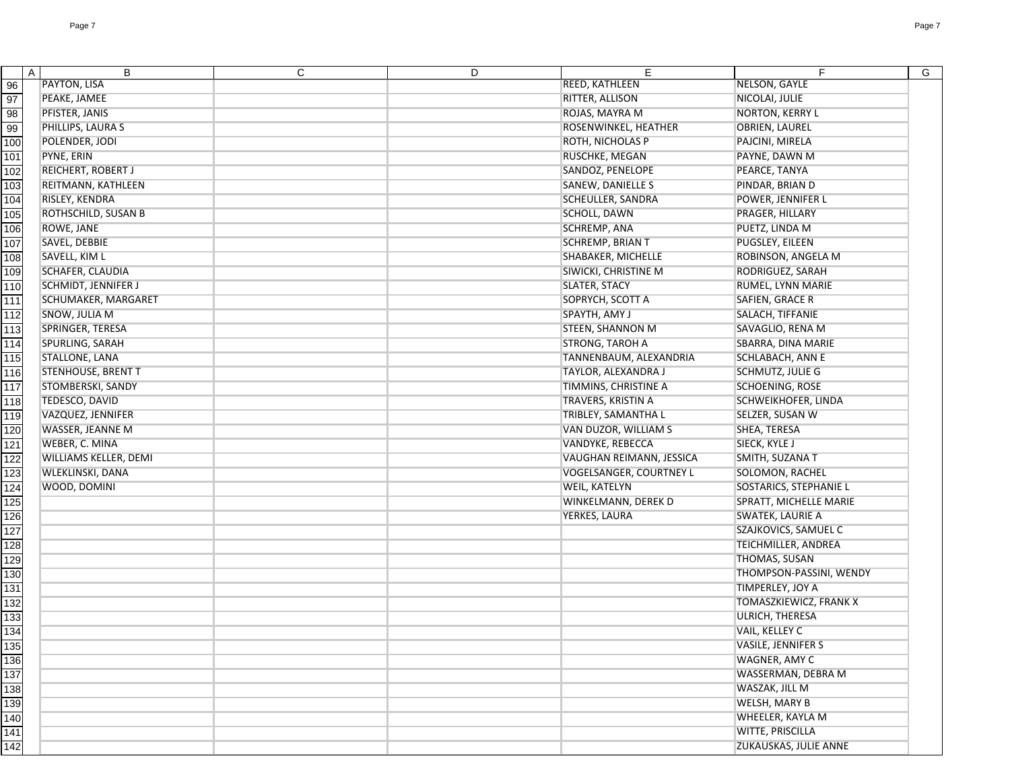|                                                                       | В<br>$\mathsf{A}$         | C | D | E                              | F.                      | G |
|-----------------------------------------------------------------------|---------------------------|---|---|--------------------------------|-------------------------|---|
| 96                                                                    | <b>PAYTON, LISA</b>       |   |   | <b>REED, KATHLEEN</b>          | NELSON, GAYLE           |   |
| 97                                                                    | PEAKE, JAMEE              |   |   | RITTER, ALLISON                | NICOLAI, JULIE          |   |
| 98                                                                    | PFISTER, JANIS            |   |   | ROJAS, MAYRA M                 | <b>NORTON, KERRY L</b>  |   |
| 99                                                                    | PHILLIPS, LAURA S         |   |   | ROSENWINKEL, HEATHER           | <b>OBRIEN, LAUREL</b>   |   |
| 100                                                                   | POLENDER, JODI            |   |   | ROTH, NICHOLAS P               | PAJCINI, MIRELA         |   |
| 101                                                                   | PYNE, ERIN                |   |   | <b>RUSCHKE, MEGAN</b>          | PAYNE, DAWN M           |   |
| 102                                                                   | REICHERT, ROBERT J        |   |   | SANDOZ, PENELOPE               | PEARCE, TANYA           |   |
| 103                                                                   | REITMANN, KATHLEEN        |   |   | <b>SANEW, DANIELLE S</b>       | PINDAR, BRIAN D         |   |
| 104                                                                   | RISLEY, KENDRA            |   |   | <b>SCHEULLER, SANDRA</b>       | POWER, JENNIFER L       |   |
| 105                                                                   | ROTHSCHILD, SUSAN B       |   |   | SCHOLL, DAWN                   | PRAGER, HILLARY         |   |
| 106                                                                   | ROWE, JANE                |   |   | SCHREMP, ANA                   | PUETZ, LINDA M          |   |
| 107                                                                   | SAVEL, DEBBIE             |   |   | SCHREMP, BRIAN T               | PUGSLEY, EILEEN         |   |
| 108                                                                   | SAVELL, KIM L             |   |   | SHABAKER, MICHELLE             | ROBINSON, ANGELA M      |   |
| 109                                                                   | <b>SCHAFER, CLAUDIA</b>   |   |   | SIWICKI, CHRISTINE M           | RODRIGUEZ, SARAH        |   |
| 110                                                                   | SCHMIDT, JENNIFER J       |   |   | <b>SLATER, STACY</b>           | RUMEL, LYNN MARIE       |   |
| 111                                                                   | SCHUMAKER, MARGARET       |   |   | SOPRYCH, SCOTT A               | SAFIEN, GRACE R         |   |
| 112                                                                   | SNOW, JULIA M             |   |   | SPAYTH, AMY J                  | SALACH, TIFFANIE        |   |
| 113                                                                   | SPRINGER, TERESA          |   |   | <b>STEEN, SHANNON M</b>        | SAVAGLIO, RENA M        |   |
| 114                                                                   | SPURLING, SARAH           |   |   | <b>STRONG, TAROH A</b>         | SBARRA, DINA MARIE      |   |
| 115                                                                   | <b>STALLONE, LANA</b>     |   |   | TANNENBAUM, ALEXANDRIA         | SCHLABACH, ANN E        |   |
| 116                                                                   | <b>STENHOUSE, BRENT T</b> |   |   | TAYLOR, ALEXANDRA J            | <b>SCHMUTZ, JULIE G</b> |   |
| 117                                                                   | STOMBERSKI, SANDY         |   |   | TIMMINS, CHRISTINE A           | SCHOENING, ROSE         |   |
| 118                                                                   | TEDESCO, DAVID            |   |   | TRAVERS, KRISTIN A             | SCHWEIKHOFER, LINDA     |   |
| 119                                                                   | VAZQUEZ, JENNIFER         |   |   | TRIBLEY, SAMANTHA L            | SELZER, SUSAN W         |   |
| 120                                                                   | WASSER, JEANNE M          |   |   | VAN DUZOR, WILLIAM S           | SHEA, TERESA            |   |
| $\overline{121}$                                                      | WEBER, C. MINA            |   |   | VANDYKE, REBECCA               | SIECK, KYLE J           |   |
| 122                                                                   | WILLIAMS KELLER, DEMI     |   |   | VAUGHAN REIMANN, JESSICA       | SMITH, SUZANA T         |   |
| 123                                                                   | WLEKLINSKI, DANA          |   |   | <b>VOGELSANGER, COURTNEY L</b> | SOLOMON, RACHEL         |   |
| 124                                                                   | WOOD, DOMINI              |   |   | WEIL, KATELYN                  | SOSTARICS, STEPHANIE L  |   |
| 125                                                                   |                           |   |   | WINKELMANN, DEREK D            | SPRATT, MICHELLE MARIE  |   |
| 126                                                                   |                           |   |   | YERKES, LAURA                  | <b>SWATEK, LAURIE A</b> |   |
| 127                                                                   |                           |   |   |                                | SZAJKOVICS, SAMUEL C    |   |
| 128                                                                   |                           |   |   |                                | TEICHMILLER, ANDREA     |   |
| 129                                                                   |                           |   |   |                                | THOMAS, SUSAN           |   |
| 130                                                                   |                           |   |   |                                | THOMPSON-PASSINI, WENDY |   |
| $\overline{131}$                                                      |                           |   |   |                                | TIMPERLEY, JOY A        |   |
| 132                                                                   |                           |   |   |                                | TOMASZKIEWICZ, FRANK X  |   |
| 133                                                                   |                           |   |   |                                | ULRICH, THERESA         |   |
| 134                                                                   |                           |   |   |                                | VAIL, KELLEY C          |   |
|                                                                       |                           |   |   |                                | VASILE, JENNIFER S      |   |
|                                                                       |                           |   |   |                                | WAGNER, AMY C           |   |
|                                                                       |                           |   |   |                                | WASSERMAN, DEBRA M      |   |
|                                                                       |                           |   |   |                                | WASZAK, JILL M          |   |
|                                                                       |                           |   |   |                                | <b>WELSH, MARY B</b>    |   |
|                                                                       |                           |   |   |                                | WHEELER, KAYLA M        |   |
|                                                                       |                           |   |   |                                | WITTE, PRISCILLA        |   |
| $\frac{135}{141}$ $\frac{13}{142}$ $\frac{13}{142}$ $\frac{141}{142}$ |                           |   |   |                                | ZUKAUSKAS, JULIE ANNE   |   |
|                                                                       |                           |   |   |                                |                         |   |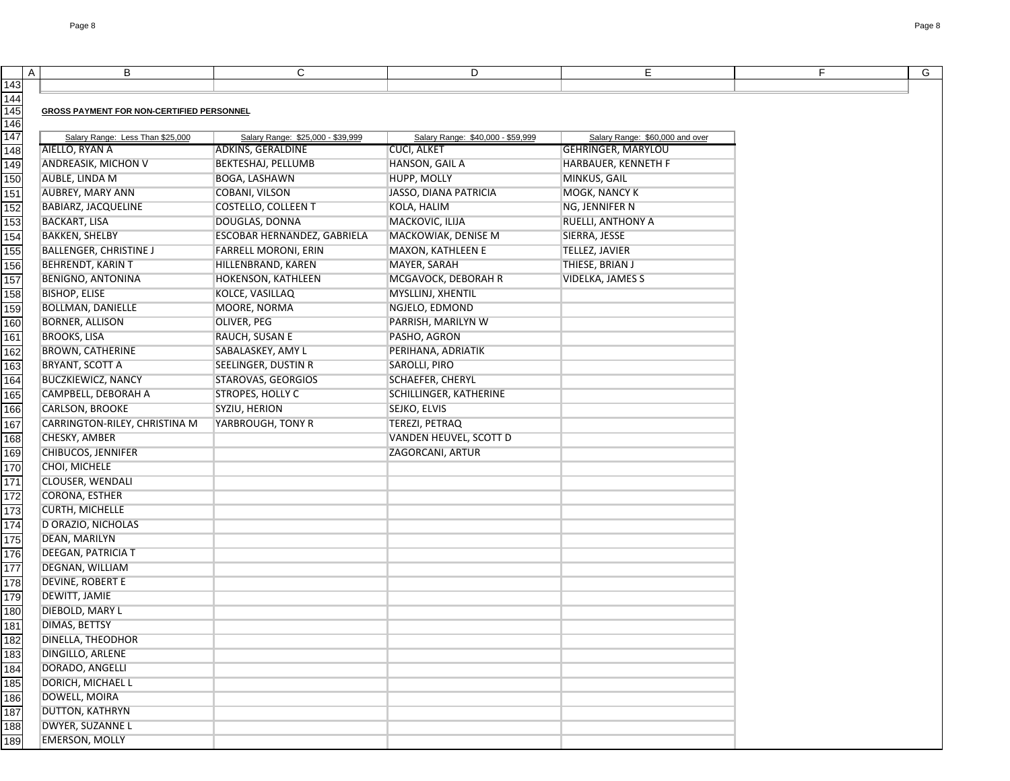|     | A | B                                                | C                                 | D                                 | Е                               | F | $\mathsf{G}$ |
|-----|---|--------------------------------------------------|-----------------------------------|-----------------------------------|---------------------------------|---|--------------|
| 143 |   |                                                  |                                   |                                   |                                 |   |              |
| 144 |   |                                                  |                                   |                                   |                                 |   |              |
| 145 |   | <b>GROSS PAYMENT FOR NON-CERTIFIED PERSONNEL</b> |                                   |                                   |                                 |   |              |
| 146 |   |                                                  |                                   |                                   |                                 |   |              |
| 147 |   | Salary Range: Less Than \$25,000                 | Salary Range: \$25,000 - \$39,999 | Salary Range: \$40,000 - \$59,999 | Salary Range: \$60,000 and over |   |              |
| 148 |   | AIELLO, RYAN A                                   | ADKINS, GERALDINE                 | <b>CUCI, ALKET</b>                | <b>GEHRINGER, MARYLOU</b>       |   |              |
| 149 |   | <b>ANDREASIK, MICHON V</b>                       | <b>BEKTESHAJ, PELLUMB</b>         | HANSON, GAIL A                    | <b>HARBAUER, KENNETH F</b>      |   |              |
| 150 |   | AUBLE, LINDA M                                   | <b>BOGA, LASHAWN</b>              | HUPP, MOLLY                       | MINKUS, GAIL                    |   |              |
| 151 |   | <b>AUBREY, MARY ANN</b>                          | COBANI, VILSON                    | JASSO, DIANA PATRICIA             | MOGK, NANCY K                   |   |              |
| 152 |   | <b>BABIARZ, JACQUELINE</b>                       | <b>COSTELLO, COLLEEN T</b>        | KOLA, HALIM                       | NG, JENNIFER N                  |   |              |
| 153 |   | <b>BACKART, LISA</b>                             | DOUGLAS, DONNA                    | MACKOVIC, ILIJA                   | RUELLI, ANTHONY A               |   |              |
| 154 |   | <b>BAKKEN, SHELBY</b>                            | ESCOBAR HERNANDEZ, GABRIELA       | MACKOWIAK, DENISE M               | SIERRA, JESSE                   |   |              |
| 155 |   | <b>BALLENGER, CHRISTINE J</b>                    | FARRELL MORONI, ERIN              | MAXON, KATHLEEN E                 | TELLEZ, JAVIER                  |   |              |
| 156 |   | <b>BEHRENDT, KARIN T</b>                         | HILLENBRAND, KAREN                | MAYER, SARAH                      | THIESE, BRIAN J                 |   |              |
| 157 |   | <b>BENIGNO, ANTONINA</b>                         | HOKENSON, KATHLEEN                | MCGAVOCK, DEBORAH R               | <b>VIDELKA, JAMES S</b>         |   |              |
| 158 |   | <b>BISHOP, ELISE</b>                             | KOLCE, VASILLAQ                   | MYSLLINJ, XHENTIL                 |                                 |   |              |
| 159 |   | <b>BOLLMAN, DANIELLE</b>                         | MOORE, NORMA                      | NGJELO, EDMOND                    |                                 |   |              |
| 160 |   | <b>BORNER, ALLISON</b>                           | OLIVER, PEG                       | PARRISH, MARILYN W                |                                 |   |              |
| 161 |   | <b>BROOKS, LISA</b>                              | RAUCH, SUSAN E                    | PASHO, AGRON                      |                                 |   |              |
| 162 |   | <b>BROWN, CATHERINE</b>                          | SABALASKEY, AMY L                 | PERIHANA, ADRIATIK                |                                 |   |              |
| 163 |   | <b>BRYANT, SCOTT A</b>                           | SEELINGER, DUSTIN R               | SAROLLI, PIRO                     |                                 |   |              |
| 164 |   | <b>BUCZKIEWICZ, NANCY</b>                        | STAROVAS, GEORGIOS                | <b>SCHAEFER, CHERYL</b>           |                                 |   |              |
| 165 |   | CAMPBELL, DEBORAH A                              | <b>STROPES, HOLLY C</b>           | SCHILLINGER, KATHERINE            |                                 |   |              |
| 166 |   | <b>CARLSON, BROOKE</b>                           | SYZIU, HERION                     | SEJKO, ELVIS                      |                                 |   |              |
| 167 |   | CARRINGTON-RILEY, CHRISTINA M                    | YARBROUGH, TONY R                 | TEREZI, PETRAQ                    |                                 |   |              |
| 168 |   | CHESKY, AMBER                                    |                                   | VANDEN HEUVEL, SCOTT D            |                                 |   |              |
| 169 |   | <b>CHIBUCOS, JENNIFER</b>                        |                                   | ZAGORCANI, ARTUR                  |                                 |   |              |
| 170 |   | CHOI, MICHELE                                    |                                   |                                   |                                 |   |              |
| 171 |   | CLOUSER, WENDALI                                 |                                   |                                   |                                 |   |              |
| 172 |   | <b>CORONA, ESTHER</b>                            |                                   |                                   |                                 |   |              |
| 173 |   | <b>CURTH, MICHELLE</b>                           |                                   |                                   |                                 |   |              |
| 174 |   | D ORAZIO, NICHOLAS                               |                                   |                                   |                                 |   |              |
| 175 |   | DEAN, MARILYN                                    |                                   |                                   |                                 |   |              |
| 176 |   | <b>DEEGAN, PATRICIA T</b>                        |                                   |                                   |                                 |   |              |
| 177 |   | DEGNAN, WILLIAM                                  |                                   |                                   |                                 |   |              |
| 178 |   | DEVINE, ROBERT E                                 |                                   |                                   |                                 |   |              |
| 179 |   | DEWITT, JAMIE                                    |                                   |                                   |                                 |   |              |
| 180 |   | DIEBOLD, MARY L                                  |                                   |                                   |                                 |   |              |
| 181 |   | <b>DIMAS, BETTSY</b>                             |                                   |                                   |                                 |   |              |
| 182 |   | DINELLA, THEODHOR                                |                                   |                                   |                                 |   |              |
| 183 |   | DINGILLO, ARLENE                                 |                                   |                                   |                                 |   |              |
| 184 |   | DORADO, ANGELLI                                  |                                   |                                   |                                 |   |              |
| 185 |   | DORICH, MICHAEL L                                |                                   |                                   |                                 |   |              |
| 186 |   | DOWELL, MOIRA                                    |                                   |                                   |                                 |   |              |
| 187 |   | <b>DUTTON, KATHRYN</b>                           |                                   |                                   |                                 |   |              |
| 188 |   | DWYER, SUZANNE L                                 |                                   |                                   |                                 |   |              |
| 189 |   | <b>EMERSON, MOLLY</b>                            |                                   |                                   |                                 |   |              |
|     |   |                                                  |                                   |                                   |                                 |   |              |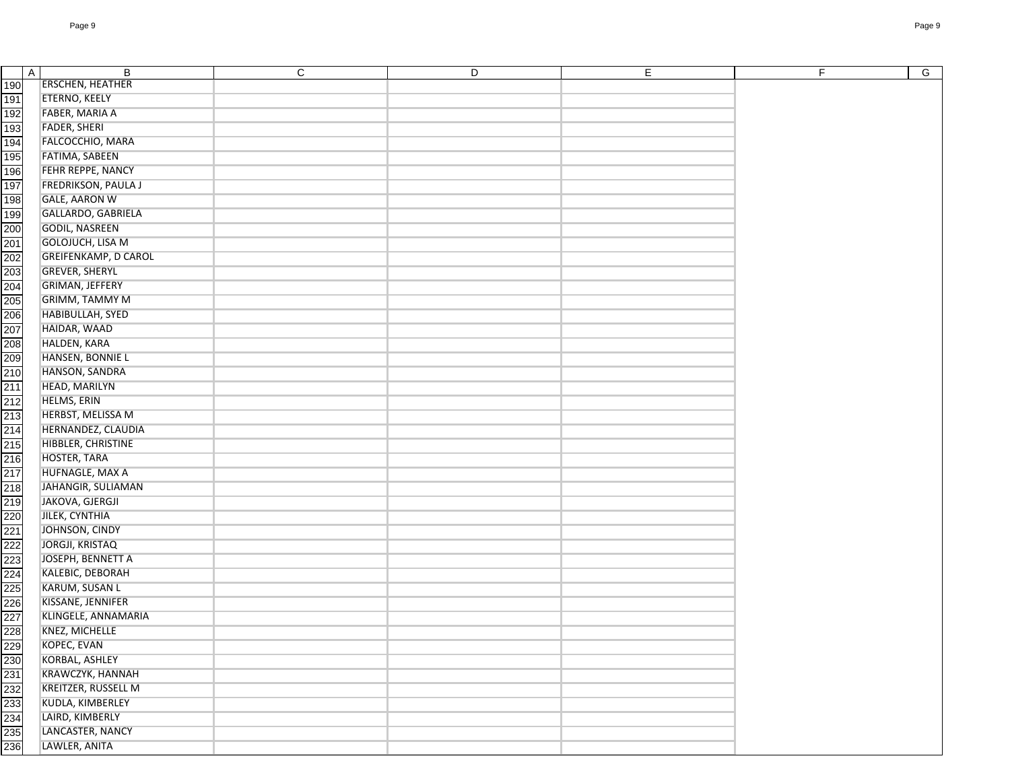|                                                                                                       | $\overline{A}$ | B                           | C | D | E | F. | $\overline{G}$ |
|-------------------------------------------------------------------------------------------------------|----------------|-----------------------------|---|---|---|----|----------------|
| 190                                                                                                   |                | <b>ERSCHEN, HEATHER</b>     |   |   |   |    |                |
| 191                                                                                                   |                | <b>ETERNO, KEELY</b>        |   |   |   |    |                |
| 192                                                                                                   |                | FABER, MARIA A              |   |   |   |    |                |
| 193                                                                                                   |                | <b>FADER, SHERI</b>         |   |   |   |    |                |
| 194                                                                                                   |                | FALCOCCHIO, MARA            |   |   |   |    |                |
| 195                                                                                                   |                | FATIMA, SABEEN              |   |   |   |    |                |
| 196                                                                                                   |                | FEHR REPPE, NANCY           |   |   |   |    |                |
| 197                                                                                                   |                | <b>FREDRIKSON, PAULA J</b>  |   |   |   |    |                |
| 198                                                                                                   |                | <b>GALE, AARON W</b>        |   |   |   |    |                |
| 199                                                                                                   |                | GALLARDO, GABRIELA          |   |   |   |    |                |
| 200                                                                                                   |                | <b>GODIL, NASREEN</b>       |   |   |   |    |                |
| 201                                                                                                   |                | GOLOJUCH, LISA M            |   |   |   |    |                |
| 202                                                                                                   |                | <b>GREIFENKAMP, D CAROL</b> |   |   |   |    |                |
|                                                                                                       |                | <b>GREVER, SHERYL</b>       |   |   |   |    |                |
| 203<br>204                                                                                            |                | <b>GRIMAN, JEFFERY</b>      |   |   |   |    |                |
|                                                                                                       |                | <b>GRIMM, TAMMY M</b>       |   |   |   |    |                |
| 205<br>206<br>207                                                                                     |                | HABIBULLAH, SYED            |   |   |   |    |                |
|                                                                                                       |                | HAIDAR, WAAD                |   |   |   |    |                |
|                                                                                                       |                | HALDEN, KARA                |   |   |   |    |                |
| 208<br>209                                                                                            |                | HANSEN, BONNIE L            |   |   |   |    |                |
| $\overline{210}$                                                                                      |                | HANSON, SANDRA              |   |   |   |    |                |
|                                                                                                       |                | HEAD, MARILYN               |   |   |   |    |                |
| 211                                                                                                   |                | HELMS, ERIN                 |   |   |   |    |                |
| 212                                                                                                   |                |                             |   |   |   |    |                |
| 213<br>214                                                                                            |                | HERBST, MELISSA M           |   |   |   |    |                |
|                                                                                                       |                | HERNANDEZ, CLAUDIA          |   |   |   |    |                |
| 215                                                                                                   |                | HIBBLER, CHRISTINE          |   |   |   |    |                |
| 216                                                                                                   |                | HOSTER, TARA                |   |   |   |    |                |
| $\frac{217}{218}$                                                                                     |                | HUFNAGLE, MAX A             |   |   |   |    |                |
|                                                                                                       |                | JAHANGIR, SULIAMAN          |   |   |   |    |                |
|                                                                                                       |                | JAKOVA, GJERGJI             |   |   |   |    |                |
|                                                                                                       |                | JILEK, CYNTHIA              |   |   |   |    |                |
|                                                                                                       |                | JOHNSON, CINDY              |   |   |   |    |                |
|                                                                                                       |                | <b>JORGJI, KRISTAQ</b>      |   |   |   |    |                |
|                                                                                                       |                | JOSEPH, BENNETT A           |   |   |   |    |                |
|                                                                                                       |                | KALEBIC, DEBORAH            |   |   |   |    |                |
|                                                                                                       |                | KARUM, SUSAN L              |   |   |   |    |                |
|                                                                                                       |                | KISSANE, JENNIFER           |   |   |   |    |                |
|                                                                                                       |                | KLINGELE, ANNAMARIA         |   |   |   |    |                |
| 219<br>2220 223 223 224<br>222 223 224 225 226 227 228 229 230 231<br>232 233 233 233 233 234 235 236 |                | KNEZ, MICHELLE              |   |   |   |    |                |
|                                                                                                       |                | KOPEC, EVAN                 |   |   |   |    |                |
|                                                                                                       |                | KORBAL, ASHLEY              |   |   |   |    |                |
|                                                                                                       |                | KRAWCZYK, HANNAH            |   |   |   |    |                |
|                                                                                                       |                | KREITZER, RUSSELL M         |   |   |   |    |                |
|                                                                                                       |                | KUDLA, KIMBERLEY            |   |   |   |    |                |
|                                                                                                       |                | LAIRD, KIMBERLY             |   |   |   |    |                |
|                                                                                                       |                | LANCASTER, NANCY            |   |   |   |    |                |
|                                                                                                       |                | LAWLER, ANITA               |   |   |   |    |                |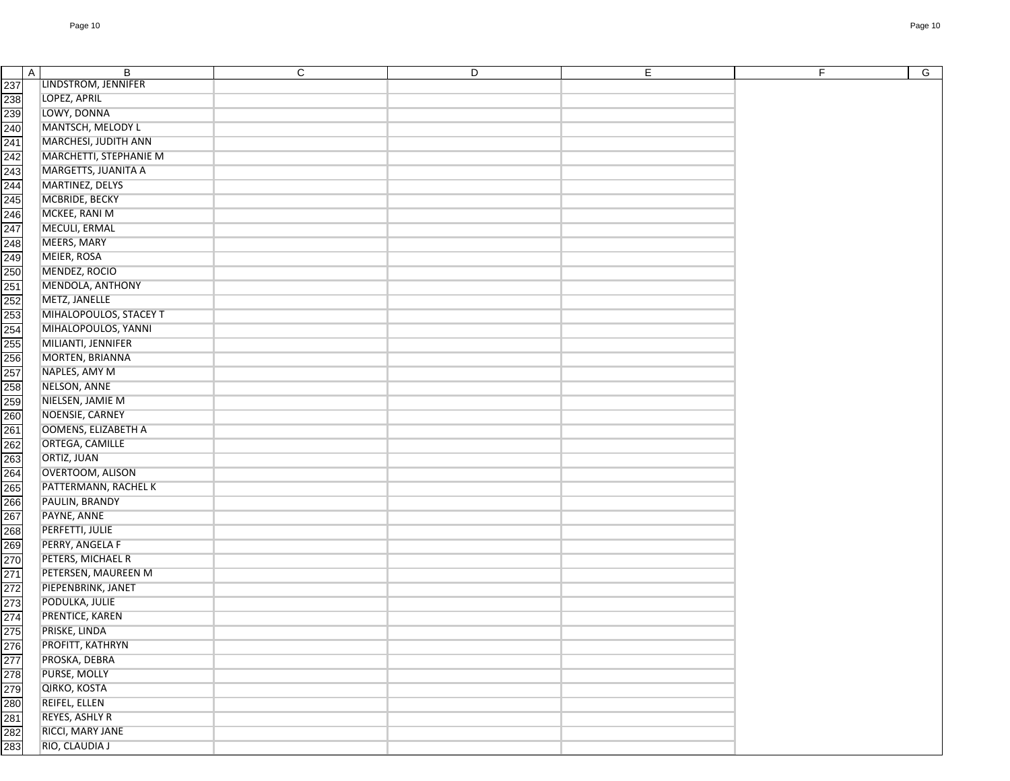| $\overline{A}$                                                                   | B<br>LINDSTROM, JENNIFER   | $\mathsf{C}$ | D | E. | F.<br>G |
|----------------------------------------------------------------------------------|----------------------------|--------------|---|----|---------|
|                                                                                  | LOPEZ, APRIL               |              |   |    |         |
|                                                                                  | LOWY, DONNA                |              |   |    |         |
| 237<br>238<br>239<br>240                                                         | MANTSCH, MELODY L          |              |   |    |         |
| 241                                                                              | MARCHESI, JUDITH ANN       |              |   |    |         |
|                                                                                  | MARCHETTI, STEPHANIE M     |              |   |    |         |
| 242                                                                              | MARGETTS, JUANITA A        |              |   |    |         |
| 243<br>244<br>245                                                                | MARTINEZ, DELYS            |              |   |    |         |
|                                                                                  |                            |              |   |    |         |
|                                                                                  | MCBRIDE, BECKY             |              |   |    |         |
| 246<br>247                                                                       | MCKEE, RANI M              |              |   |    |         |
|                                                                                  | MECULI, ERMAL              |              |   |    |         |
| 248<br>249                                                                       | MEERS, MARY                |              |   |    |         |
|                                                                                  | MEIER, ROSA                |              |   |    |         |
| 250                                                                              | MENDEZ, ROCIO              |              |   |    |         |
| 251                                                                              | MENDOLA, ANTHONY           |              |   |    |         |
| 252<br>253<br>253<br>256<br>257                                                  | METZ, JANELLE              |              |   |    |         |
|                                                                                  | MIHALOPOULOS, STACEY T     |              |   |    |         |
|                                                                                  | MIHALOPOULOS, YANNI        |              |   |    |         |
|                                                                                  | MILIANTI, JENNIFER         |              |   |    |         |
|                                                                                  | MORTEN, BRIANNA            |              |   |    |         |
|                                                                                  | NAPLES, AMY M              |              |   |    |         |
| 258                                                                              | NELSON, ANNE               |              |   |    |         |
| 259                                                                              | NIELSEN, JAMIE M           |              |   |    |         |
|                                                                                  | NOENSIE, CARNEY            |              |   |    |         |
|                                                                                  | <b>OOMENS, ELIZABETH A</b> |              |   |    |         |
|                                                                                  | ORTEGA, CAMILLE            |              |   |    |         |
|                                                                                  | ORTIZ, JUAN                |              |   |    |         |
| 26 26 26 26<br>26 26 27 28<br>35 32 32 32                                        | OVERTOOM, ALISON           |              |   |    |         |
|                                                                                  | PATTERMANN, RACHEL K       |              |   |    |         |
| 266                                                                              | PAULIN, BRANDY             |              |   |    |         |
|                                                                                  | PAYNE, ANNE                |              |   |    |         |
|                                                                                  | PERFETTI, JULIE            |              |   |    |         |
| 267<br>268<br>270<br>270                                                         | PERRY, ANGELA F            |              |   |    |         |
|                                                                                  | PETERS, MICHAEL R          |              |   |    |         |
|                                                                                  | PETERSEN, MAUREEN M        |              |   |    |         |
|                                                                                  | PIEPENBRINK, JANET         |              |   |    |         |
|                                                                                  | PODULKA, JULIE             |              |   |    |         |
|                                                                                  | PRENTICE, KAREN            |              |   |    |         |
|                                                                                  | PRISKE, LINDA              |              |   |    |         |
|                                                                                  | PROFITT, KATHRYN           |              |   |    |         |
| 271<br>272<br>273<br>274<br>275<br>276<br>277<br>278<br>281<br>281<br>282<br>283 | PROSKA, DEBRA              |              |   |    |         |
|                                                                                  | PURSE, MOLLY               |              |   |    |         |
|                                                                                  | QIRKO, KOSTA               |              |   |    |         |
|                                                                                  | REIFEL, ELLEN              |              |   |    |         |
|                                                                                  | REYES, ASHLY R             |              |   |    |         |
|                                                                                  | RICCI, MARY JANE           |              |   |    |         |
|                                                                                  | RIO, CLAUDIA J             |              |   |    |         |
|                                                                                  |                            |              |   |    |         |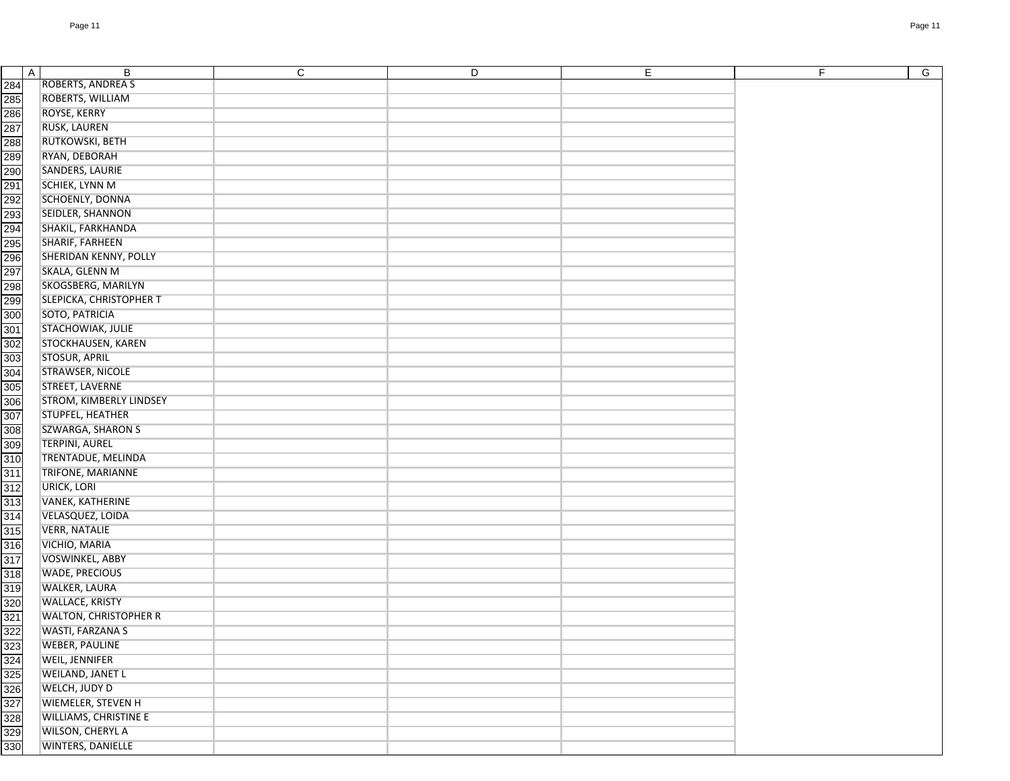| 284 | ROBERTS, ANDREA S              |  |  |
|-----|--------------------------------|--|--|
| 285 | ROBERTS, WILLIAM               |  |  |
| 286 | ROYSE, KERRY                   |  |  |
| 287 | RUSK, LAUREN                   |  |  |
| 288 | RUTKOWSKI, BETH                |  |  |
| 289 | RYAN, DEBORAH                  |  |  |
| 290 | SANDERS, LAURIE                |  |  |
| 291 | SCHIEK, LYNN M                 |  |  |
| 292 | SCHOENLY, DONNA                |  |  |
| 293 | SEIDLER, SHANNON               |  |  |
| 294 | SHAKIL, FARKHANDA              |  |  |
|     | SHARIF, FARHEEN                |  |  |
| 295 |                                |  |  |
| 296 | SHERIDAN KENNY, POLLY          |  |  |
| 297 | SKALA, GLENN M                 |  |  |
| 298 | SKOGSBERG, MARILYN             |  |  |
| 299 | SLEPICKA, CHRISTOPHER T        |  |  |
| 300 | SOTO, PATRICIA                 |  |  |
| 301 | STACHOWIAK, JULIE              |  |  |
| 302 | STOCKHAUSEN, KAREN             |  |  |
| 303 | <b>STOSUR, APRIL</b>           |  |  |
| 304 | STRAWSER, NICOLE               |  |  |
| 305 | STREET, LAVERNE                |  |  |
| 306 | <b>STROM, KIMBERLY LINDSEY</b> |  |  |
| 307 | STUPFEL, HEATHER               |  |  |
| 308 | SZWARGA, SHARON S              |  |  |
| 309 | <b>TERPINI, AUREL</b>          |  |  |
| 310 | TRENTADUE, MELINDA             |  |  |
| 311 | TRIFONE, MARIANNE              |  |  |
| 312 | URICK, LORI                    |  |  |
| 313 | VANEK, KATHERINE               |  |  |
| 314 | VELASQUEZ, LOIDA               |  |  |
| 315 | <b>VERR, NATALIE</b>           |  |  |
| 316 | VICHIO, MARIA                  |  |  |
| 317 | VOSWINKEL, ABBY                |  |  |
| 318 | <b>WADE, PRECIOUS</b>          |  |  |
|     | WALKER, LAURA                  |  |  |
| 319 |                                |  |  |
| 320 | <b>WALLACE, KRISTY</b>         |  |  |
| 321 | <b>WALTON, CHRISTOPHER R</b>   |  |  |
| 322 | WASTI, FARZANA S               |  |  |
| 323 | <b>WEBER, PAULINE</b>          |  |  |
| 324 | WEIL, JENNIFER                 |  |  |
| 325 | WEILAND, JANET L               |  |  |
| 326 | WELCH, JUDY D                  |  |  |
| 327 | WIEMELER, STEVEN H             |  |  |
| 328 | <b>WILLIAMS, CHRISTINE E</b>   |  |  |
| 329 | WILSON, CHERYL A               |  |  |
| 330 | WINTERS, DANIELLE              |  |  |
|     |                                |  |  |

AI BILIC ID I E I FIG

 $G$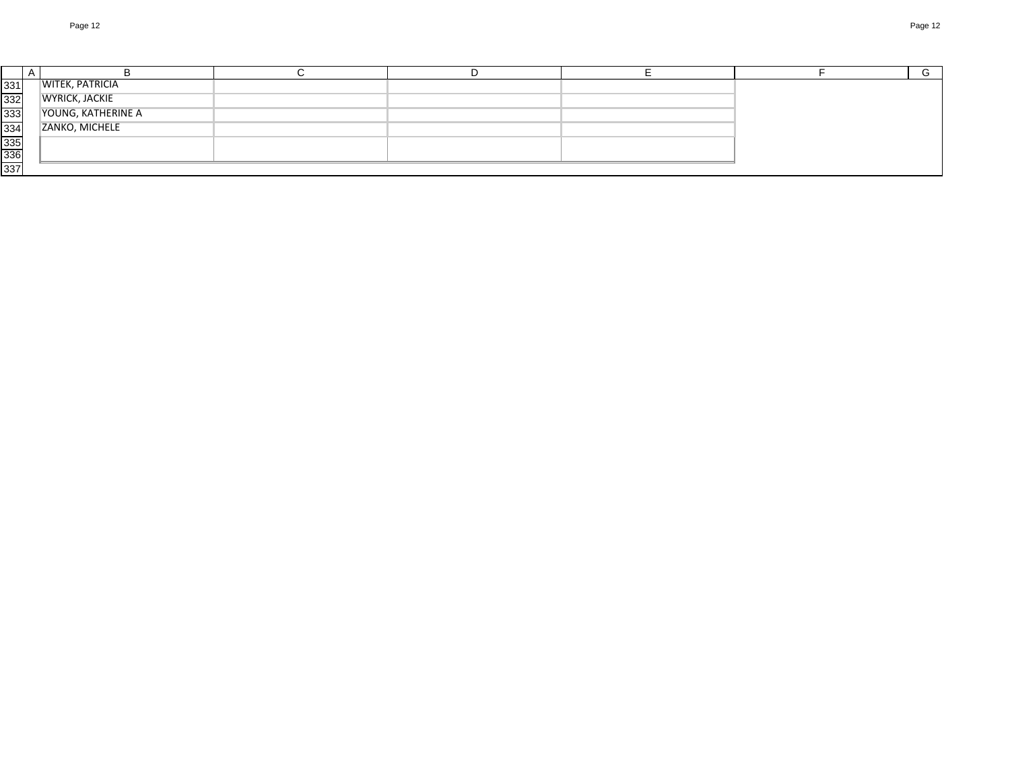|            |                        |  |  | G |
|------------|------------------------|--|--|---|
| 331        | <b>WITEK, PATRICIA</b> |  |  |   |
| 332        | <b>WYRICK, JACKIE</b>  |  |  |   |
| 333        | YOUNG, KATHERINE A     |  |  |   |
| 334        | ZANKO, MICHELE         |  |  |   |
| 335<br>336 |                        |  |  |   |
|            |                        |  |  |   |
| 337        |                        |  |  |   |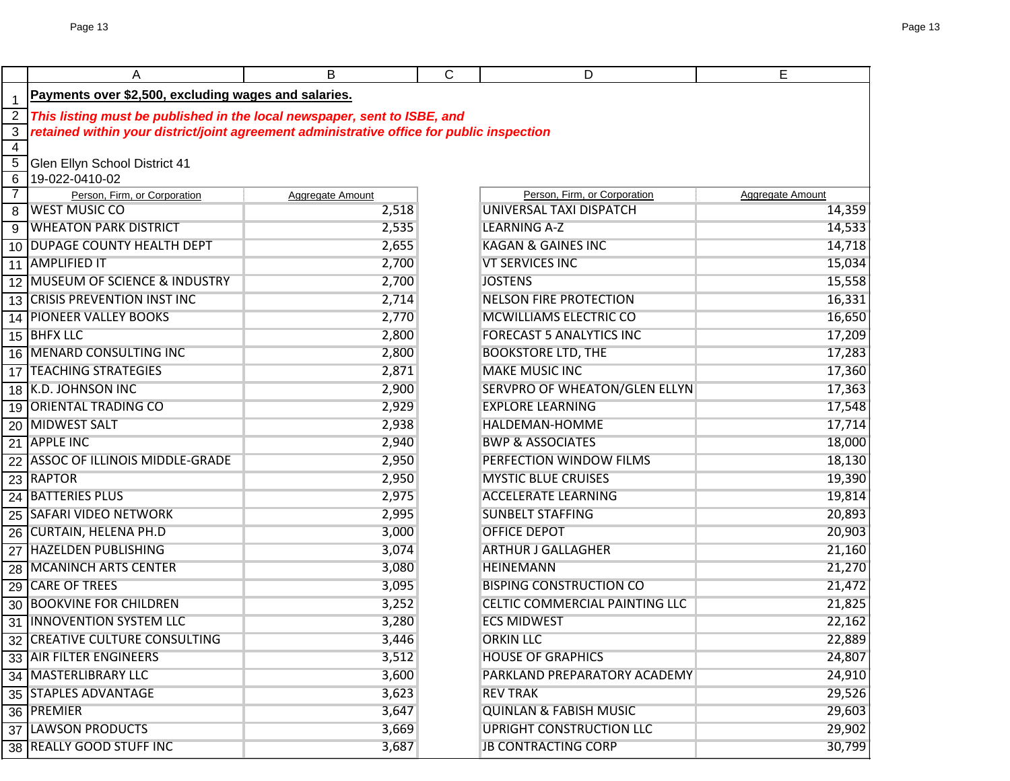|                         | Α                                                                                         | B                | C | D                                 | E                |  |  |  |
|-------------------------|-------------------------------------------------------------------------------------------|------------------|---|-----------------------------------|------------------|--|--|--|
| $\overline{\mathbf{1}}$ | Payments over \$2,500, excluding wages and salaries.                                      |                  |   |                                   |                  |  |  |  |
|                         | This listing must be published in the local newspaper, sent to ISBE, and                  |                  |   |                                   |                  |  |  |  |
| $\overline{3}$          | retained within your district/joint agreement administrative office for public inspection |                  |   |                                   |                  |  |  |  |
| $\overline{4}$          |                                                                                           |                  |   |                                   |                  |  |  |  |
| $\overline{5}$          | Glen Ellyn School District 41                                                             |                  |   |                                   |                  |  |  |  |
| $\overline{6}$          | 19-022-0410-02                                                                            |                  |   |                                   |                  |  |  |  |
| $\overline{7}$          | Person, Firm, or Corporation                                                              | Aggregate Amount |   | Person, Firm, or Corporation      | Aggregate Amount |  |  |  |
| 8                       | <b>WEST MUSIC CO</b>                                                                      | 2,518            |   | UNIVERSAL TAXI DISPATCH           | 14,359           |  |  |  |
|                         | 9 WHEATON PARK DISTRICT                                                                   | 2,535            |   | <b>LEARNING A-Z</b>               | 14,533           |  |  |  |
|                         | 10 DUPAGE COUNTY HEALTH DEPT                                                              | 2,655            |   | <b>KAGAN &amp; GAINES INC</b>     | 14,718           |  |  |  |
|                         | 11 AMPLIFIED IT                                                                           | 2,700            |   | <b>VT SERVICES INC</b>            | 15,034           |  |  |  |
|                         | 12 MUSEUM OF SCIENCE & INDUSTRY                                                           | 2,700            |   | <b>JOSTENS</b>                    | 15,558           |  |  |  |
|                         | 13 CRISIS PREVENTION INST INC                                                             | 2,714            |   | <b>NELSON FIRE PROTECTION</b>     | 16,331           |  |  |  |
| 14                      | <b>PIONEER VALLEY BOOKS</b>                                                               | 2,770            |   | MCWILLIAMS ELECTRIC CO            | 16,650           |  |  |  |
|                         | 15 BHFX LLC                                                                               | 2,800            |   | <b>FORECAST 5 ANALYTICS INC</b>   | 17,209           |  |  |  |
|                         | 16 MENARD CONSULTING INC                                                                  | 2,800            |   | <b>BOOKSTORE LTD, THE</b>         | 17,283           |  |  |  |
|                         | 17 TEACHING STRATEGIES                                                                    | 2,871            |   | <b>MAKE MUSIC INC</b>             | 17,360           |  |  |  |
|                         | 18 K.D. JOHNSON INC                                                                       | 2,900            |   | SERVPRO OF WHEATON/GLEN ELLYN     | 17,363           |  |  |  |
|                         | 19 ORIENTAL TRADING CO                                                                    | 2,929            |   | <b>EXPLORE LEARNING</b>           | 17,548           |  |  |  |
|                         | 20 MIDWEST SALT                                                                           | 2,938            |   | HALDEMAN-HOMME                    | 17,714           |  |  |  |
|                         | 21 APPLE INC                                                                              | 2,940            |   | <b>BWP &amp; ASSOCIATES</b>       | 18,000           |  |  |  |
|                         | 22 ASSOC OF ILLINOIS MIDDLE-GRADE                                                         | 2,950            |   | PERFECTION WINDOW FILMS           | 18,130           |  |  |  |
|                         | 23 RAPTOR                                                                                 | 2,950            |   | <b>MYSTIC BLUE CRUISES</b>        | 19,390           |  |  |  |
|                         | 24 BATTERIES PLUS                                                                         | 2,975            |   | <b>ACCELERATE LEARNING</b>        | 19,814           |  |  |  |
|                         | 25 SAFARI VIDEO NETWORK                                                                   | 2,995            |   | <b>SUNBELT STAFFING</b>           | 20,893           |  |  |  |
|                         | 26 CURTAIN, HELENA PH.D                                                                   | 3,000            |   | <b>OFFICE DEPOT</b>               | 20,903           |  |  |  |
|                         | 27 HAZELDEN PUBLISHING                                                                    | 3,074            |   | <b>ARTHUR J GALLAGHER</b>         | 21,160           |  |  |  |
| $\overline{28}$         | MCANINCH ARTS CENTER                                                                      | 3,080            |   | <b>HEINEMANN</b>                  | 21,270           |  |  |  |
| 29                      | <b>CARE OF TREES</b>                                                                      | 3,095            |   | <b>BISPING CONSTRUCTION CO</b>    | 21,472           |  |  |  |
|                         | <b>30 BOOKVINE FOR CHILDREN</b>                                                           | 3,252            |   | CELTIC COMMERCIAL PAINTING LLC    | 21,825           |  |  |  |
|                         | 31 INNOVENTION SYSTEM LLC                                                                 | 3,280            |   | <b>ECS MIDWEST</b>                | 22,162           |  |  |  |
|                         | 32 CREATIVE CULTURE CONSULTING                                                            | 3,446            |   | <b>ORKIN LLC</b>                  | 22,889           |  |  |  |
|                         | 33 AIR FILTER ENGINEERS                                                                   | 3,512            |   | <b>HOUSE OF GRAPHICS</b>          | 24,807           |  |  |  |
|                         | 34 MASTERLIBRARY LLC                                                                      | 3,600            |   | PARKLAND PREPARATORY ACADEMY      | 24,910           |  |  |  |
|                         | 35 STAPLES ADVANTAGE                                                                      | 3,623            |   | <b>REV TRAK</b>                   | 29,526           |  |  |  |
|                         | 36 PREMIER                                                                                | 3,647            |   | <b>QUINLAN &amp; FABISH MUSIC</b> | 29,603           |  |  |  |
|                         |                                                                                           | 3,669            |   | <b>UPRIGHT CONSTRUCTION LLC</b>   |                  |  |  |  |
|                         | 37 LAWSON PRODUCTS                                                                        |                  |   | <b>JB CONTRACTING CORP</b>        | 29,902           |  |  |  |
|                         | 38 REALLY GOOD STUFF INC                                                                  | 3,687            |   |                                   | 30,799           |  |  |  |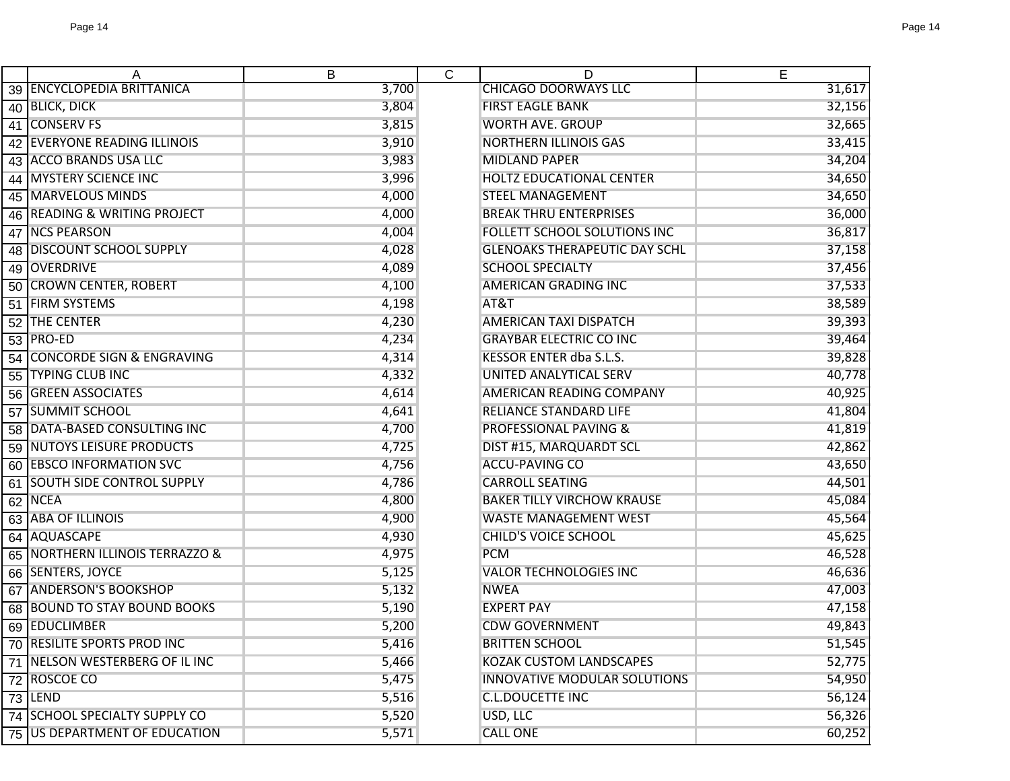| A                               | B     | $\mathsf{C}$ | D                                    | E      |
|---------------------------------|-------|--------------|--------------------------------------|--------|
| 39 ENCYCLOPEDIA BRITTANICA      | 3,700 |              | <b>CHICAGO DOORWAYS LLC</b>          | 31,617 |
| 40 BLICK, DICK                  | 3,804 |              | <b>FIRST EAGLE BANK</b>              | 32,156 |
| 41 CONSERV FS                   | 3,815 |              | <b>WORTH AVE. GROUP</b>              | 32,665 |
| 42 EVERYONE READING ILLINOIS    | 3,910 |              | <b>NORTHERN ILLINOIS GAS</b>         | 33,415 |
| 43 ACCO BRANDS USA LLC          | 3,983 |              | <b>MIDLAND PAPER</b>                 | 34,204 |
| 44 MYSTERY SCIENCE INC          | 3,996 |              | HOLTZ EDUCATIONAL CENTER             | 34,650 |
| 45 MARVELOUS MINDS              | 4,000 |              | <b>STEEL MANAGEMENT</b>              | 34,650 |
| 46 READING & WRITING PROJECT    | 4,000 |              | <b>BREAK THRU ENTERPRISES</b>        | 36,000 |
| 47 NCS PEARSON                  | 4,004 |              | FOLLETT SCHOOL SOLUTIONS INC         | 36,817 |
| 48 DISCOUNT SCHOOL SUPPLY       | 4,028 |              | <b>GLENOAKS THERAPEUTIC DAY SCHL</b> | 37,158 |
| 49 OVERDRIVE                    | 4,089 |              | <b>SCHOOL SPECIALTY</b>              | 37,456 |
| 50 CROWN CENTER, ROBERT         | 4,100 |              | <b>AMERICAN GRADING INC</b>          | 37,533 |
| 51 FIRM SYSTEMS                 | 4,198 |              | AT&T                                 | 38,589 |
| 52 THE CENTER                   | 4,230 |              | <b>AMERICAN TAXI DISPATCH</b>        | 39,393 |
| 53 PRO-ED                       | 4,234 |              | <b>GRAYBAR ELECTRIC CO INC</b>       | 39,464 |
| 54 CONCORDE SIGN & ENGRAVING    | 4,314 |              | <b>KESSOR ENTER dba S.L.S.</b>       | 39,828 |
| 55 TYPING CLUB INC              | 4,332 |              | UNITED ANALYTICAL SERV               | 40,778 |
| <b>56 GREEN ASSOCIATES</b>      | 4,614 |              | AMERICAN READING COMPANY             | 40,925 |
| 57 SUMMIT SCHOOL                | 4,641 |              | RELIANCE STANDARD LIFE               | 41,804 |
| 58 DATA-BASED CONSULTING INC    | 4,700 |              | <b>PROFESSIONAL PAVING &amp;</b>     | 41,819 |
| 59 NUTOYS LEISURE PRODUCTS      | 4,725 |              | DIST #15, MARQUARDT SCL              | 42,862 |
| 60 EBSCO INFORMATION SVC        | 4,756 |              | <b>ACCU-PAVING CO</b>                | 43,650 |
| 61 SOUTH SIDE CONTROL SUPPLY    | 4,786 |              | <b>CARROLL SEATING</b>               | 44,501 |
| 62 NCEA                         | 4,800 |              | <b>BAKER TILLY VIRCHOW KRAUSE</b>    | 45,084 |
| 63 ABA OF ILLINOIS              | 4,900 |              | <b>WASTE MANAGEMENT WEST</b>         | 45,564 |
| 64 AQUASCAPE                    | 4,930 |              | <b>CHILD'S VOICE SCHOOL</b>          | 45,625 |
| 65 NORTHERN ILLINOIS TERRAZZO & | 4,975 |              | <b>PCM</b>                           | 46,528 |
| 66 SENTERS, JOYCE               | 5,125 |              | <b>VALOR TECHNOLOGIES INC</b>        | 46,636 |
| 67 ANDERSON'S BOOKSHOP          | 5,132 |              | <b>NWEA</b>                          | 47,003 |
| 68 BOUND TO STAY BOUND BOOKS    | 5,190 |              | <b>EXPERT PAY</b>                    | 47,158 |
| 69 EDUCLIMBER                   | 5,200 |              | <b>CDW GOVERNMENT</b>                | 49,843 |
| 70 RESILITE SPORTS PROD INC     | 5,416 |              | <b>BRITTEN SCHOOL</b>                | 51,545 |
| 71 NELSON WESTERBERG OF IL INC  | 5,466 |              | <b>KOZAK CUSTOM LANDSCAPES</b>       | 52,775 |
| 72 ROSCOE CO                    | 5,475 |              | <b>INNOVATIVE MODULAR SOLUTIONS</b>  | 54,950 |
| 73 LEND                         | 5,516 |              | <b>C.L.DOUCETTE INC</b>              | 56,124 |
| 74 SCHOOL SPECIALTY SUPPLY CO   | 5,520 |              | USD, LLC                             | 56,326 |
| 75 US DEPARTMENT OF EDUCATION   | 5,571 |              | <b>CALL ONE</b>                      | 60,252 |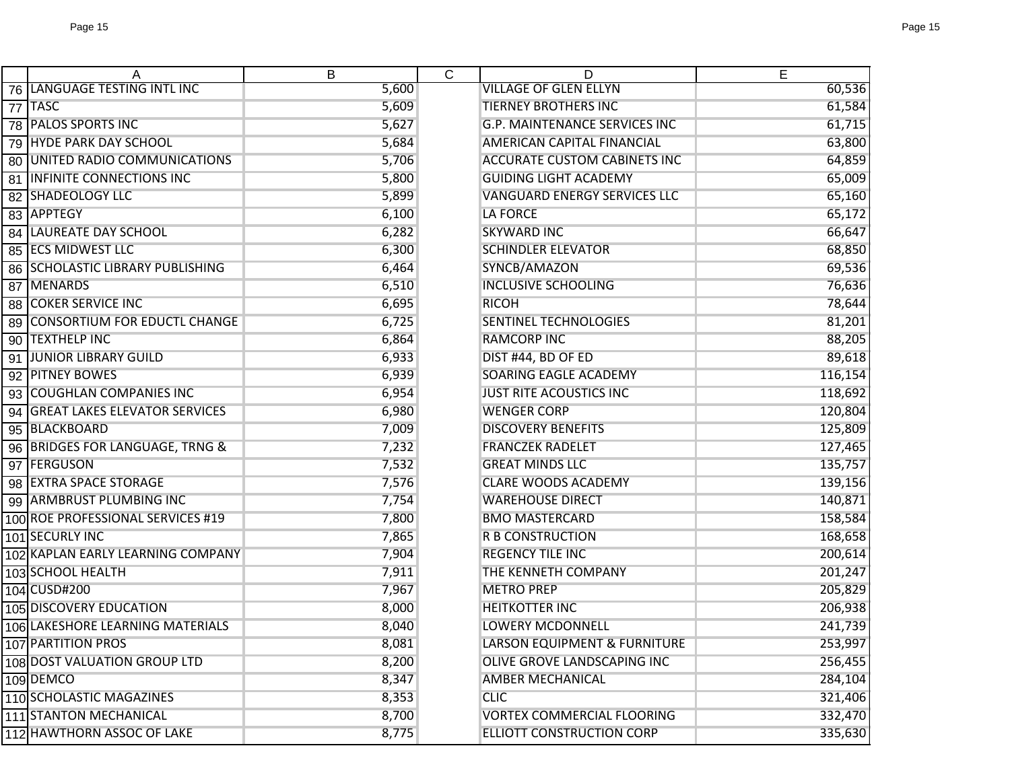| A                                  | B     | $\overline{C}$ | D                                       | E       |
|------------------------------------|-------|----------------|-----------------------------------------|---------|
| 76 LANGUAGE TESTING INTL INC       | 5,600 |                | <b>VILLAGE OF GLEN ELLYN</b>            | 60,536  |
| 77 TASC                            | 5,609 |                | <b>TIERNEY BROTHERS INC</b>             | 61,584  |
| 78 PALOS SPORTS INC                | 5,627 |                | <b>G.P. MAINTENANCE SERVICES INC</b>    | 61,715  |
| 79 HYDE PARK DAY SCHOOL            | 5,684 |                | <b>AMERICAN CAPITAL FINANCIAL</b>       | 63,800  |
| 80 UNITED RADIO COMMUNICATIONS     | 5,706 |                | <b>ACCURATE CUSTOM CABINETS INC</b>     | 64,859  |
| <b>81 INFINITE CONNECTIONS INC</b> | 5,800 |                | <b>GUIDING LIGHT ACADEMY</b>            | 65,009  |
| <b>82 SHADEOLOGY LLC</b>           | 5,899 |                | <b>VANGUARD ENERGY SERVICES LLC</b>     | 65,160  |
| 83 APPTEGY                         | 6,100 |                | <b>LA FORCE</b>                         | 65,172  |
| <b>84 LAUREATE DAY SCHOOL</b>      | 6,282 |                | <b>SKYWARD INC</b>                      | 66,647  |
| 85 ECS MIDWEST LLC                 | 6,300 |                | <b>SCHINDLER ELEVATOR</b>               | 68,850  |
| 86 SCHOLASTIC LIBRARY PUBLISHING   | 6,464 |                | SYNCB/AMAZON                            | 69,536  |
| 87 MENARDS                         | 6,510 |                | <b>INCLUSIVE SCHOOLING</b>              | 76,636  |
| <b>88 COKER SERVICE INC</b>        | 6,695 |                | <b>RICOH</b>                            | 78,644  |
| 89 CONSORTIUM FOR EDUCTL CHANGE    | 6,725 |                | <b>SENTINEL TECHNOLOGIES</b>            | 81,201  |
| 90 TEXTHELP INC                    | 6,864 |                | <b>RAMCORP INC</b>                      | 88,205  |
| 91 JUNIOR LIBRARY GUILD            | 6,933 |                | DIST #44, BD OF ED                      | 89,618  |
| 92 PITNEY BOWES                    | 6,939 |                | SOARING EAGLE ACADEMY                   | 116,154 |
| 93 COUGHLAN COMPANIES INC          | 6,954 |                | <b>JUST RITE ACOUSTICS INC</b>          | 118,692 |
| 94 GREAT LAKES ELEVATOR SERVICES   | 6,980 |                | <b>WENGER CORP</b>                      | 120,804 |
| 95 BLACKBOARD                      | 7,009 |                | <b>DISCOVERY BENEFITS</b>               | 125,809 |
| 96 BRIDGES FOR LANGUAGE, TRNG &    | 7,232 |                | <b>FRANCZEK RADELET</b>                 | 127,465 |
| 97 FERGUSON                        | 7,532 |                | <b>GREAT MINDS LLC</b>                  | 135,757 |
| 98 EXTRA SPACE STORAGE             | 7,576 |                | <b>CLARE WOODS ACADEMY</b>              | 139,156 |
| 99 ARMBRUST PLUMBING INC           | 7,754 |                | <b>WAREHOUSE DIRECT</b>                 | 140,871 |
| 100 ROE PROFESSIONAL SERVICES #19  | 7,800 |                | <b>BMO MASTERCARD</b>                   | 158,584 |
| 101 SECURLY INC                    | 7,865 |                | <b>R B CONSTRUCTION</b>                 | 168,658 |
| 102 KAPLAN EARLY LEARNING COMPANY  | 7,904 |                | <b>REGENCY TILE INC</b>                 | 200,614 |
| 103 SCHOOL HEALTH                  | 7,911 |                | THE KENNETH COMPANY                     | 201,247 |
| 104 CUSD#200                       | 7,967 |                | <b>METRO PREP</b>                       | 205,829 |
| <b>105 DISCOVERY EDUCATION</b>     | 8,000 |                | <b>HEITKOTTER INC</b>                   | 206,938 |
| 106 LAKESHORE LEARNING MATERIALS   | 8,040 |                | <b>LOWERY MCDONNELL</b>                 | 241,739 |
| 107 PARTITION PROS                 | 8,081 |                | <b>LARSON EQUIPMENT &amp; FURNITURE</b> | 253,997 |
| 108 DOST VALUATION GROUP LTD       | 8,200 |                | OLIVE GROVE LANDSCAPING INC             | 256,455 |
| 109 DEMCO                          | 8,347 |                | <b>AMBER MECHANICAL</b>                 | 284,104 |
| 110 SCHOLASTIC MAGAZINES           | 8,353 |                | <b>CLIC</b>                             | 321,406 |
| 111 STANTON MECHANICAL             | 8,700 |                | <b>VORTEX COMMERCIAL FLOORING</b>       | 332,470 |
| 112 HAWTHORN ASSOC OF LAKE         | 8,775 |                | <b>ELLIOTT CONSTRUCTION CORP</b>        | 335,630 |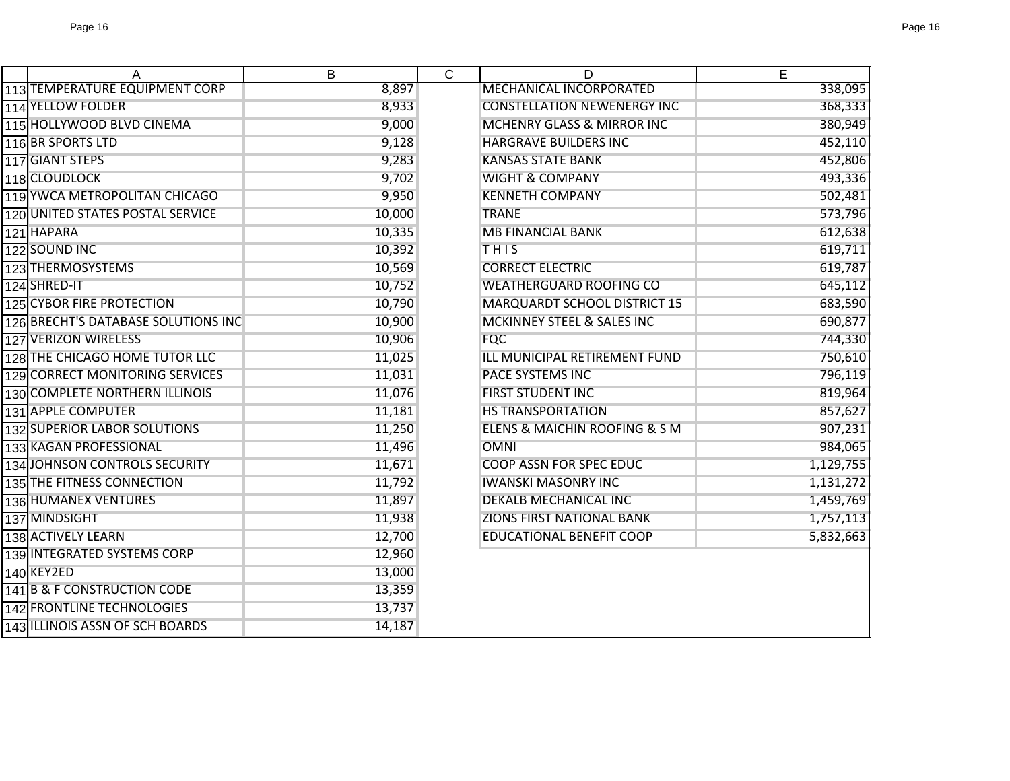|                                     | В      | $\mathsf{C}$ | D                                  | E         |
|-------------------------------------|--------|--------------|------------------------------------|-----------|
| 113 TEMPERATURE EQUIPMENT CORP      | 8,897  |              | <b>MECHANICAL INCORPORATED</b>     | 338,095   |
| 114 YELLOW FOLDER                   | 8,933  |              | <b>CONSTELLATION NEWENERGY INC</b> | 368,333   |
| 115 HOLLYWOOD BLVD CINEMA           | 9,000  |              | MCHENRY GLASS & MIRROR INC         | 380,949   |
| 116 BR SPORTS LTD                   | 9,128  |              | <b>HARGRAVE BUILDERS INC</b>       | 452,110   |
| 117 GIANT STEPS                     | 9,283  |              | <b>KANSAS STATE BANK</b>           | 452,806   |
| 118 CLOUDLOCK                       | 9,702  |              | <b>WIGHT &amp; COMPANY</b>         | 493,336   |
| 119 YWCA METROPOLITAN CHICAGO       | 9,950  |              | <b>KENNETH COMPANY</b>             | 502,481   |
| 120 UNITED STATES POSTAL SERVICE    | 10,000 |              | <b>TRANE</b>                       | 573,796   |
| 121 HAPARA                          | 10,335 |              | <b>MB FINANCIAL BANK</b>           | 612,638   |
| 122 SOUND INC                       | 10,392 |              | THIS                               | 619,711   |
| 123 THERMOSYSTEMS                   | 10,569 |              | <b>CORRECT ELECTRIC</b>            | 619,787   |
| 124 SHRED-IT                        | 10,752 |              | <b>WEATHERGUARD ROOFING CO</b>     | 645,112   |
| 125 CYBOR FIRE PROTECTION           | 10,790 |              | MARQUARDT SCHOOL DISTRICT 15       | 683,590   |
| 126 BRECHT'S DATABASE SOLUTIONS INC | 10,900 |              | MCKINNEY STEEL & SALES INC         | 690,877   |
| 127 VERIZON WIRELESS                | 10,906 |              | <b>FQC</b>                         | 744,330   |
| 128 THE CHICAGO HOME TUTOR LLC      | 11,025 |              | ILL MUNICIPAL RETIREMENT FUND      | 750,610   |
| 129 CORRECT MONITORING SERVICES     | 11,031 |              | <b>PACE SYSTEMS INC</b>            | 796,119   |
| 130 COMPLETE NORTHERN ILLINOIS      | 11,076 |              | <b>FIRST STUDENT INC</b>           | 819,964   |
| 131 APPLE COMPUTER                  | 11,181 |              | <b>HS TRANSPORTATION</b>           | 857,627   |
| 132 SUPERIOR LABOR SOLUTIONS        | 11,250 |              | ELENS & MAICHIN ROOFING & S M      | 907,231   |
| 133 KAGAN PROFESSIONAL              | 11,496 |              | <b>OMNI</b>                        | 984,065   |
| 134 JOHNSON CONTROLS SECURITY       | 11,671 |              | <b>COOP ASSN FOR SPEC EDUC</b>     | 1,129,755 |
| 135 THE FITNESS CONNECTION          | 11,792 |              | <b>IWANSKI MASONRY INC</b>         | 1,131,272 |
| 136 HUMANEX VENTURES                | 11,897 |              | <b>DEKALB MECHANICAL INC</b>       | 1,459,769 |
| 137 MINDSIGHT                       | 11,938 |              | <b>ZIONS FIRST NATIONAL BANK</b>   | 1,757,113 |
| 138 ACTIVELY LEARN                  | 12,700 |              | <b>EDUCATIONAL BENEFIT COOP</b>    | 5,832,663 |
| 139 INTEGRATED SYSTEMS CORP         | 12,960 |              |                                    |           |
| 140 KEY2ED                          | 13,000 |              |                                    |           |
| 141 B & F CONSTRUCTION CODE         | 13,359 |              |                                    |           |
| 142 FRONTLINE TECHNOLOGIES          | 13,737 |              |                                    |           |
| 143 ILLINOIS ASSN OF SCH BOARDS     | 14,187 |              |                                    |           |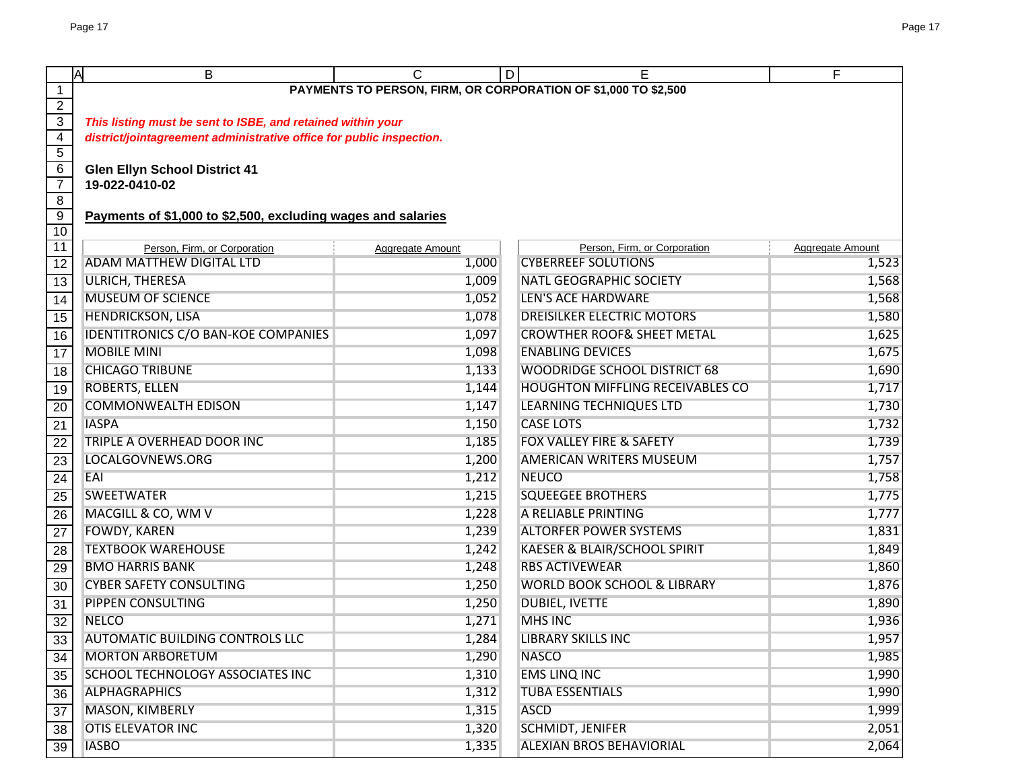|                         | A<br>B                                                               | C                | D | E.                                      | F                |  |  |
|-------------------------|----------------------------------------------------------------------|------------------|---|-----------------------------------------|------------------|--|--|
| 1                       | PAYMENTS TO PERSON, FIRM, OR CORPORATION OF \$1,000 TO \$2,500       |                  |   |                                         |                  |  |  |
| $\overline{2}$          |                                                                      |                  |   |                                         |                  |  |  |
| $\overline{3}$          | This listing must be sent to ISBE, and retained within your          |                  |   |                                         |                  |  |  |
| 4                       | district/jointagreement administrative office for public inspection. |                  |   |                                         |                  |  |  |
| 5<br>6                  |                                                                      |                  |   |                                         |                  |  |  |
| $\overline{7}$          | <b>Glen Ellyn School District 41</b><br>19-022-0410-02               |                  |   |                                         |                  |  |  |
| $\overline{\mathbf{8}}$ |                                                                      |                  |   |                                         |                  |  |  |
| $\overline{9}$          | Payments of \$1,000 to \$2,500, excluding wages and salaries         |                  |   |                                         |                  |  |  |
| 10                      |                                                                      |                  |   |                                         |                  |  |  |
| 11                      | Person, Firm, or Corporation                                         | Aggregate Amount |   | Person, Firm, or Corporation            | Aggregate Amount |  |  |
| 12                      | ADAM MATTHEW DIGITAL LTD                                             | 1,000            |   | <b>CYBERREEF SOLUTIONS</b>              | 1,523            |  |  |
| $\overline{13}$         | <b>ULRICH, THERESA</b>                                               | 1,009            |   | <b>NATL GEOGRAPHIC SOCIETY</b>          | 1,568            |  |  |
| $\overline{14}$         | <b>MUSEUM OF SCIENCE</b>                                             | 1,052            |   | <b>LEN'S ACE HARDWARE</b>               | 1,568            |  |  |
| 15                      | <b>HENDRICKSON, LISA</b>                                             | 1,078            |   | <b>DREISILKER ELECTRIC MOTORS</b>       | 1,580            |  |  |
| 16                      | <b>IDENTITRONICS C/O BAN-KOE COMPANIES</b>                           | 1,097            |   | <b>CROWTHER ROOF&amp; SHEET METAL</b>   | 1,625            |  |  |
| $\overline{17}$         | <b>MOBILE MINI</b>                                                   | 1,098            |   | <b>ENABLING DEVICES</b>                 | 1,675            |  |  |
| 18                      | <b>CHICAGO TRIBUNE</b>                                               | 1,133            |   | <b>WOODRIDGE SCHOOL DISTRICT 68</b>     | 1,690            |  |  |
| 19                      | <b>ROBERTS, ELLEN</b>                                                | 1,144            |   | <b>HOUGHTON MIFFLING RECEIVABLES CO</b> | 1,717            |  |  |
| 20                      | <b>COMMONWEALTH EDISON</b>                                           | 1,147            |   | <b>LEARNING TECHNIQUES LTD</b>          | 1,730            |  |  |
| $\overline{21}$         | <b>IASPA</b>                                                         | 1,150            |   | <b>CASE LOTS</b>                        | 1,732            |  |  |
| $\overline{22}$         | TRIPLE A OVERHEAD DOOR INC                                           | 1,185            |   | FOX VALLEY FIRE & SAFETY                | 1,739            |  |  |
| 23                      | LOCALGOVNEWS.ORG                                                     | 1,200            |   | <b>AMERICAN WRITERS MUSEUM</b>          | 1,757            |  |  |
| 24                      | EAI                                                                  | 1,212            |   | <b>NEUCO</b>                            | 1,758            |  |  |
| 25                      | <b>SWEETWATER</b>                                                    | 1,215            |   | <b>SQUEEGEE BROTHERS</b>                | 1,775            |  |  |
| 26                      | MACGILL & CO, WM V                                                   | 1,228            |   | A RELIABLE PRINTING                     | 1,777            |  |  |
| $\overline{27}$         | <b>FOWDY, KAREN</b>                                                  | 1,239            |   | <b>ALTORFER POWER SYSTEMS</b>           | 1,831            |  |  |
| 28                      | <b>TEXTBOOK WAREHOUSE</b>                                            | 1,242            |   | KAESER & BLAIR/SCHOOL SPIRIT            | 1,849            |  |  |
| 29                      | <b>BMO HARRIS BANK</b>                                               | 1,248            |   | <b>RBS ACTIVEWEAR</b>                   | 1,860            |  |  |
| 30                      | <b>CYBER SAFETY CONSULTING</b>                                       | 1,250            |   | <b>WORLD BOOK SCHOOL &amp; LIBRARY</b>  | 1,876            |  |  |
| 31                      | PIPPEN CONSULTING                                                    | 1,250            |   | <b>DUBIEL, IVETTE</b>                   | 1,890            |  |  |
| $\overline{32}$         | <b>NELCO</b>                                                         | 1,271            |   | <b>MHS INC</b>                          | 1,936            |  |  |
| 33                      | AUTOMATIC BUILDING CONTROLS LLC                                      | 1,284            |   | <b>LIBRARY SKILLS INC</b>               | 1,957            |  |  |
| $\overline{34}$         | <b>MORTON ARBORETUM</b>                                              | 1,290            |   | <b>NASCO</b>                            | 1,985            |  |  |
| 35                      | SCHOOL TECHNOLOGY ASSOCIATES INC                                     | 1,310            |   | <b>EMS LINQ INC</b>                     | 1,990            |  |  |
| $\overline{36}$         | <b>ALPHAGRAPHICS</b>                                                 | 1,312            |   | <b>TUBA ESSENTIALS</b>                  | 1,990            |  |  |
| 37                      | <b>MASON, KIMBERLY</b>                                               | 1,315            |   | <b>ASCD</b>                             | 1,999            |  |  |
| $\overline{38}$         | <b>OTIS ELEVATOR INC</b>                                             | 1,320            |   | SCHMIDT, JENIFER                        | 2,051            |  |  |
| 39                      | <b>IASBO</b>                                                         | 1,335            |   | ALEXIAN BROS BEHAVIORIAL                | 2,064            |  |  |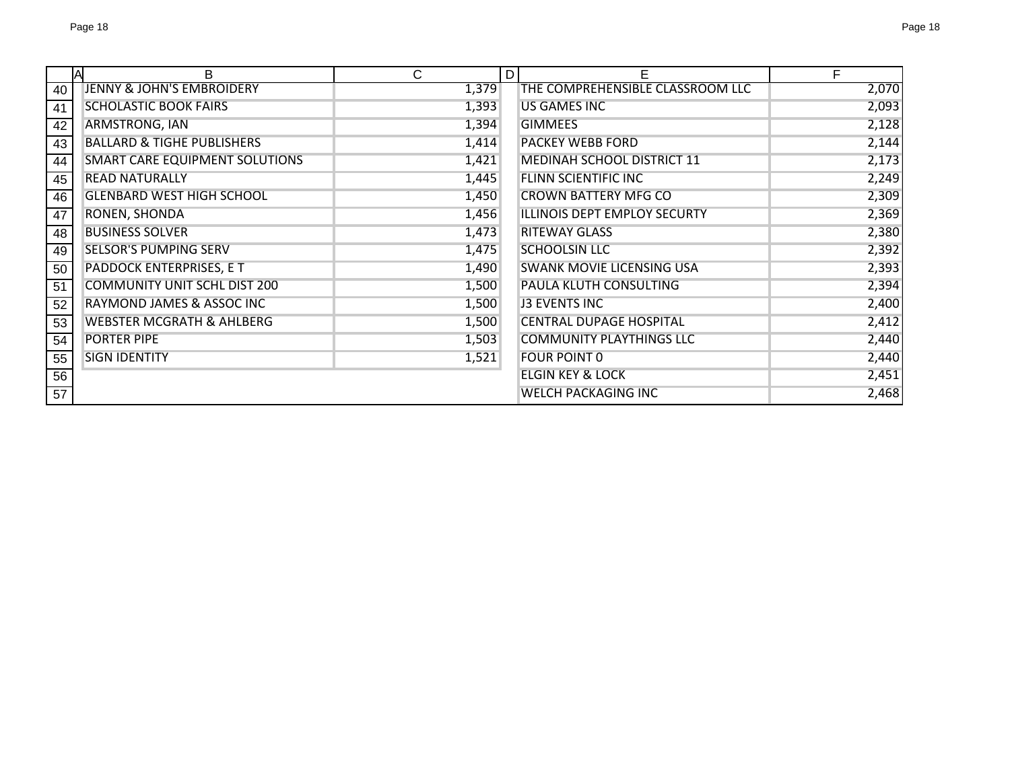|    | <b>A</b><br>B                         | C     | D | E                                | F     |
|----|---------------------------------------|-------|---|----------------------------------|-------|
| 40 | <b>JENNY &amp; JOHN'S EMBROIDERY</b>  | 1,379 |   | THE COMPREHENSIBLE CLASSROOM LLC | 2,070 |
| 41 | <b>SCHOLASTIC BOOK FAIRS</b>          | 1,393 |   | <b>US GAMES INC</b>              | 2,093 |
| 42 | ARMSTRONG, IAN                        | 1,394 |   | <b>GIMMEES</b>                   | 2,128 |
| 43 | <b>BALLARD &amp; TIGHE PUBLISHERS</b> | 1,414 |   | <b>PACKEY WEBB FORD</b>          | 2,144 |
| 44 | <b>SMART CARE EQUIPMENT SOLUTIONS</b> | 1,421 |   | MEDINAH SCHOOL DISTRICT 11       | 2,173 |
| 45 | <b>READ NATURALLY</b>                 | 1,445 |   | FLINN SCIENTIFIC INC             | 2,249 |
| 46 | <b>GLENBARD WEST HIGH SCHOOL</b>      | 1,450 |   | <b>CROWN BATTERY MFG CO</b>      | 2,309 |
| 47 | RONEN, SHONDA                         | 1,456 |   | ILLINOIS DEPT EMPLOY SECURTY     | 2,369 |
| 48 | <b>BUSINESS SOLVER</b>                | 1,473 |   | <b>RITEWAY GLASS</b>             | 2,380 |
| 49 | <b>SELSOR'S PUMPING SERV</b>          | 1,475 |   | <b>SCHOOLSIN LLC</b>             | 2,392 |
| 50 | PADDOCK ENTERPRISES, E T              | 1,490 |   | <b>SWANK MOVIE LICENSING USA</b> | 2,393 |
| 51 | <b>COMMUNITY UNIT SCHL DIST 200</b>   | 1,500 |   | PAULA KLUTH CONSULTING           | 2,394 |
| 52 | RAYMOND JAMES & ASSOC INC             | 1,500 |   | <b>J3 EVENTS INC</b>             | 2,400 |
| 53 | <b>WEBSTER MCGRATH &amp; AHLBERG</b>  | 1,500 |   | <b>CENTRAL DUPAGE HOSPITAL</b>   | 2,412 |
| 54 | <b>PORTER PIPE</b>                    | 1,503 |   | <b>COMMUNITY PLAYTHINGS LLC</b>  | 2,440 |
| 55 | <b>SIGN IDENTITY</b>                  | 1,521 |   | <b>FOUR POINT 0</b>              | 2,440 |
| 56 |                                       |       |   | <b>ELGIN KEY &amp; LOCK</b>      | 2,451 |
| 57 |                                       |       |   | <b>WELCH PACKAGING INC</b>       | 2,468 |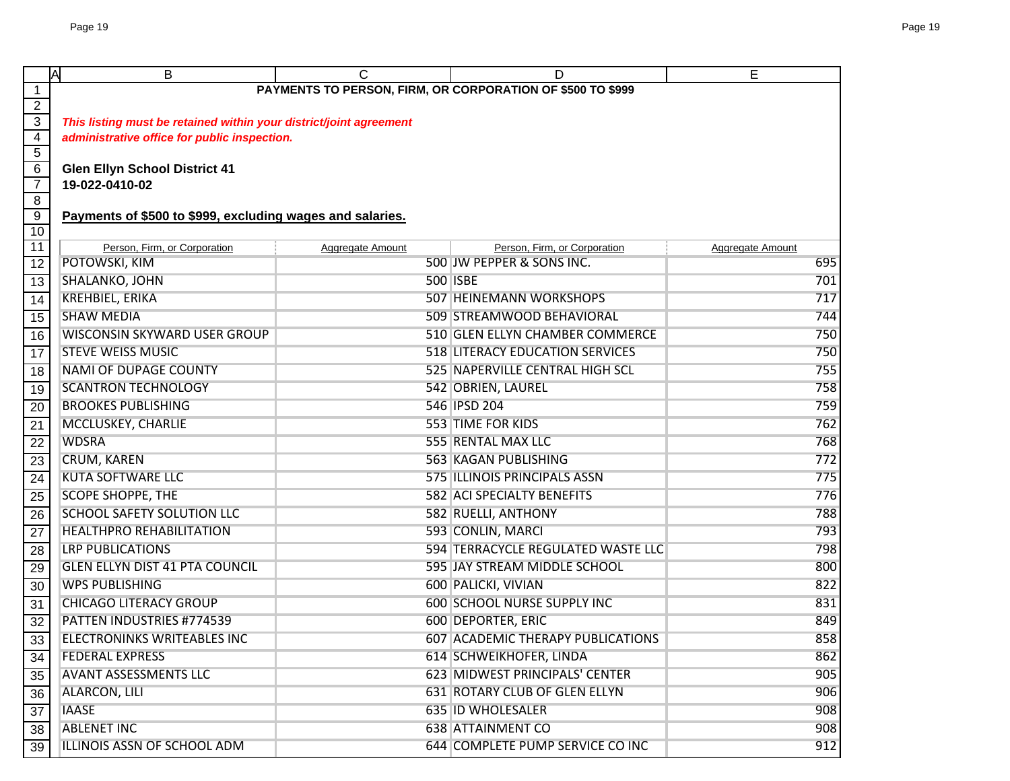| ΙA                      | B                                                                  | C                | D                                      | E                       |  |  |  |  |
|-------------------------|--------------------------------------------------------------------|------------------|----------------------------------------|-------------------------|--|--|--|--|
| 1                       | PAYMENTS TO PERSON, FIRM, OR CORPORATION OF \$500 TO \$999         |                  |                                        |                         |  |  |  |  |
| $\overline{2}$          |                                                                    |                  |                                        |                         |  |  |  |  |
| $\overline{3}$          | This listing must be retained within your district/joint agreement |                  |                                        |                         |  |  |  |  |
| $\overline{\mathbf{4}}$ | administrative office for public inspection.                       |                  |                                        |                         |  |  |  |  |
| $\overline{5}$          |                                                                    |                  |                                        |                         |  |  |  |  |
| 6<br>$\overline{7}$     | <b>Glen Ellyn School District 41</b><br>19-022-0410-02             |                  |                                        |                         |  |  |  |  |
| $\overline{8}$          |                                                                    |                  |                                        |                         |  |  |  |  |
| $\overline{9}$          | Payments of \$500 to \$999, excluding wages and salaries.          |                  |                                        |                         |  |  |  |  |
| 10                      |                                                                    |                  |                                        |                         |  |  |  |  |
| 11                      | Person, Firm, or Corporation                                       | Aggregate Amount | Person, Firm, or Corporation           | <b>Aggregate Amount</b> |  |  |  |  |
| 12                      | POTOWSKI, KIM                                                      |                  | 500 JW PEPPER & SONS INC.              | 695                     |  |  |  |  |
| 13                      | SHALANKO, JOHN                                                     |                  | <b>500 ISBE</b>                        | 701                     |  |  |  |  |
| $\overline{14}$         | <b>KREHBIEL, ERIKA</b>                                             |                  | 507 HEINEMANN WORKSHOPS                | 717                     |  |  |  |  |
| 15                      | <b>SHAW MEDIA</b>                                                  |                  | 509 STREAMWOOD BEHAVIORAL              | 744                     |  |  |  |  |
| 16                      | WISCONSIN SKYWARD USER GROUP                                       |                  | 510 GLEN ELLYN CHAMBER COMMERCE        | 750                     |  |  |  |  |
| 17                      | <b>STEVE WEISS MUSIC</b>                                           |                  | <b>518 LITERACY EDUCATION SERVICES</b> | 750                     |  |  |  |  |
| 18                      | <b>NAMI OF DUPAGE COUNTY</b>                                       |                  | 525 NAPERVILLE CENTRAL HIGH SCL        | 755                     |  |  |  |  |
| 19                      | <b>SCANTRON TECHNOLOGY</b>                                         |                  | 542 OBRIEN, LAUREL                     | 758                     |  |  |  |  |
| 20                      | <b>BROOKES PUBLISHING</b>                                          |                  | 546 IPSD 204                           | 759                     |  |  |  |  |
| 21                      | MCCLUSKEY, CHARLIE                                                 |                  | <b>553 TIME FOR KIDS</b>               | 762                     |  |  |  |  |
| $\overline{22}$         | <b>WDSRA</b>                                                       |                  | 555 RENTAL MAX LLC                     | 768                     |  |  |  |  |
| $\overline{23}$         | <b>CRUM, KAREN</b>                                                 |                  | <b>563 KAGAN PUBLISHING</b>            | 772                     |  |  |  |  |
| 24                      | <b>KUTA SOFTWARE LLC</b>                                           |                  | 575 ILLINOIS PRINCIPALS ASSN           | 775                     |  |  |  |  |
| $\overline{25}$         | <b>SCOPE SHOPPE, THE</b>                                           |                  | <b>582 ACI SPECIALTY BENEFITS</b>      | 776                     |  |  |  |  |
| 26                      | <b>SCHOOL SAFETY SOLUTION LLC</b>                                  |                  | 582 RUELLI, ANTHONY                    | 788                     |  |  |  |  |
| $\overline{27}$         | <b>HEALTHPRO REHABILITATION</b>                                    |                  | 593 CONLIN, MARCI                      | 793                     |  |  |  |  |
| 28                      | <b>LRP PUBLICATIONS</b>                                            |                  | 594 TERRACYCLE REGULATED WASTE LLC     | 798                     |  |  |  |  |
| 29                      | <b>GLEN ELLYN DIST 41 PTA COUNCIL</b>                              |                  | 595 JAY STREAM MIDDLE SCHOOL           | 800                     |  |  |  |  |
| 30                      | <b>WPS PUBLISHING</b>                                              |                  | 600 PALICKI, VIVIAN                    | 822                     |  |  |  |  |
| 31                      | <b>CHICAGO LITERACY GROUP</b>                                      |                  | <b>600 SCHOOL NURSE SUPPLY INC</b>     | 831                     |  |  |  |  |
| 32                      | PATTEN INDUSTRIES #774539                                          |                  | 600 DEPORTER, ERIC                     | 849                     |  |  |  |  |
| 33                      | ELECTRONINKS WRITEABLES INC                                        |                  | 607 ACADEMIC THERAPY PUBLICATIONS      | 858                     |  |  |  |  |
| 34                      | <b>FEDERAL EXPRESS</b>                                             |                  | 614 SCHWEIKHOFER, LINDA                | 862                     |  |  |  |  |
| 35                      | <b>AVANT ASSESSMENTS LLC</b>                                       |                  | 623 MIDWEST PRINCIPALS' CENTER         | 905                     |  |  |  |  |
| 36                      | ALARCON, LILI                                                      |                  | 631 ROTARY CLUB OF GLEN ELLYN          | 906                     |  |  |  |  |
| $\overline{37}$         | <b>IAASE</b>                                                       |                  | <b>635 ID WHOLESALER</b>               | 908                     |  |  |  |  |
| 38                      | <b>ABLENET INC</b>                                                 |                  | <b>638 ATTAINMENT CO</b>               | 908                     |  |  |  |  |
| 39                      | ILLINOIS ASSN OF SCHOOL ADM                                        |                  | 644 COMPLETE PUMP SERVICE CO INC       | 912                     |  |  |  |  |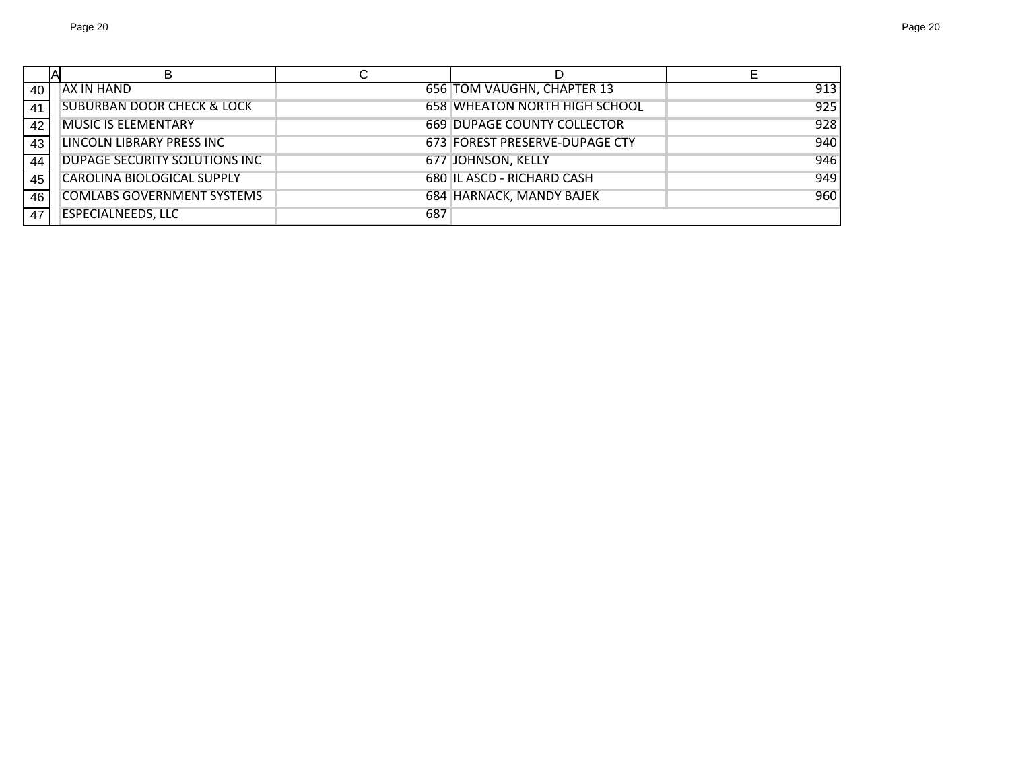|    | В                                     |     |                                      |     |
|----|---------------------------------------|-----|--------------------------------------|-----|
| 40 | AX IN HAND                            |     | 656 TOM VAUGHN, CHAPTER 13           | 913 |
| 41 | <b>SUBURBAN DOOR CHECK &amp; LOCK</b> |     | <b>658 WHEATON NORTH HIGH SCHOOL</b> | 925 |
| 42 | <b>MUSIC IS ELEMENTARY</b>            |     | <b>669 DUPAGE COUNTY COLLECTOR</b>   | 928 |
| 43 | LINCOLN LIBRARY PRESS INC             |     | 673 FOREST PRESERVE-DUPAGE CTY       | 940 |
| 44 | DUPAGE SECURITY SOLUTIONS INC         |     | 677 JOHNSON, KELLY                   | 946 |
| 45 | <b>CAROLINA BIOLOGICAL SUPPLY</b>     |     | 680 IL ASCD - RICHARD CASH           | 949 |
| 46 | <b>COMLABS GOVERNMENT SYSTEMS</b>     |     | 684 HARNACK, MANDY BAJEK             | 960 |
| 47 | <b>ESPECIALNEEDS, LLC</b>             | 687 |                                      |     |